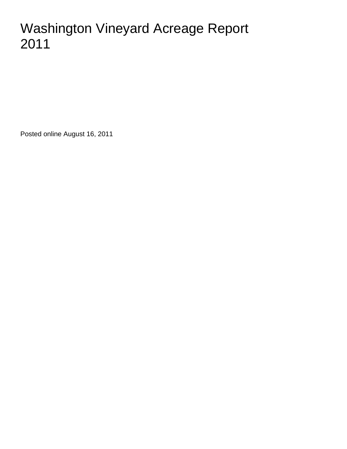# Washington Vineyard Acreage Report 2011

Posted online August 16, 2011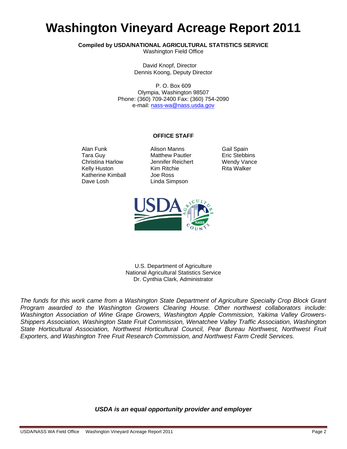# **Washington Vineyard Acreage Report 2011**

**Compiled by USDA/NATIONAL AGRICULTURAL STATISTICS SERVICE** 

Washington Field Office

David Knopf, Director Dennis Koong, Deputy Director

P. O. Box 609 Olympia, Washington 98507 Phone: (360) 709-2400 Fax: (360) 754-2090 e-mail: nass-wa@nass.usda.gov

#### **OFFICE STAFF**

Kelly Huston Katherine Kimball Joe Ross Dave Losh Linda Simpson

Alan Funk Alison Manns Gail Spain Tara Guy **Matthew Pautler** Eric Stebbins Christina Harlow Jennifer Reichert Wendy Vance<br>
Kim Ritchie Kelly Huston Kim Ritchie Rita Walker



U.S. Department of Agriculture National Agricultural Statistics Service Dr. Cynthia Clark, Administrator

*The funds for this work came from a Washington State Department of Agriculture Specialty Crop Block Grant Program awarded to the Washington Growers Clearing House. Other northwest collaborators include: Washington Association of Wine Grape Growers, Washington Apple Commission, Yakima Valley Growers-Shippers Association, Washington State Fruit Commission, Wenatchee Valley Traffic Association, Washington State Horticultural Association, Northwest Horticultural Council, Pear Bureau Northwest, Northwest Fruit Exporters, and Washington Tree Fruit Research Commission, and Northwest Farm Credit Services.* 

#### *USDA is an equal opportunity provider and employer*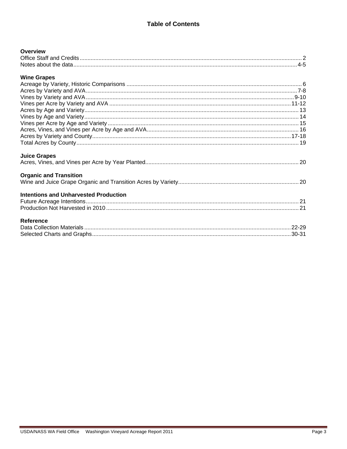### **Table of Contents**

| <b>Overview</b>                              |  |
|----------------------------------------------|--|
|                                              |  |
|                                              |  |
| <b>Wine Grapes</b>                           |  |
|                                              |  |
|                                              |  |
|                                              |  |
|                                              |  |
|                                              |  |
|                                              |  |
|                                              |  |
|                                              |  |
|                                              |  |
|                                              |  |
| <b>Juice Grapes</b>                          |  |
|                                              |  |
| <b>Organic and Transition</b>                |  |
|                                              |  |
| <b>Intentions and Unharvested Production</b> |  |
|                                              |  |
|                                              |  |
| <b>Reference</b>                             |  |
|                                              |  |
|                                              |  |
|                                              |  |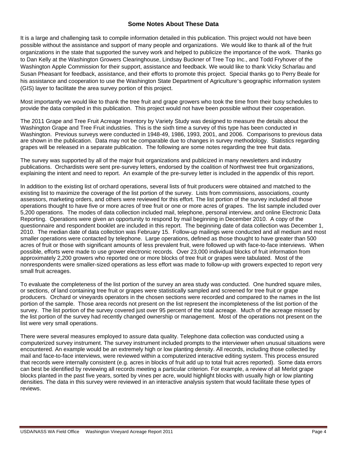#### **Some Notes About These Data**

It is a large and challenging task to compile information detailed in this publication. This project would not have been possible without the assistance and support of many people and organizations. We would like to thank all of the fruit organizations in the state that supported the survey work and helped to publicize the importance of the work. Thanks go to Dan Kelly at the Washington Growers Clearinghouse, Lindsay Buckner of Tree Top Inc., and Todd Fryhover of the Washington Apple Commission for their support, assistance and feedback. We would like to thank Vicky Scharlau and Susan Pheasant for feedback, assistance, and their efforts to promote this project. Special thanks go to Perry Beale for his assistance and cooperation to use the Washington State Department of Agriculture's geographic information system (GIS) layer to facilitate the area survey portion of this project.

Most importantly we would like to thank the tree fruit and grape growers who took the time from their busy schedules to provide the data compiled in this publication. This project would not have been possible without their cooperation.

The 2011 Grape and Tree Fruit Acreage Inventory by Variety Study was designed to measure the details about the Washington Grape and Tree Fruit industries. This is the sixth time a survey of this type has been conducted in Washington. Previous surveys were conducted in 1948-49, 1986, 1993, 2001, and 2006. Comparisons to previous data are shown in the publication. Data may not be comparable due to changes in survey methodology. Statistics regarding grapes will be released in a separate publication. The following are some notes regarding the tree fruit data.

The survey was supported by all of the major fruit organizations and publicized in many newsletters and industry publications. Orchardists were sent pre-survey letters, endorsed by the coalition of Northwest tree fruit organizations, explaining the intent and need to report. An example of the pre-survey letter is included in the appendix of this report.

In addition to the existing list of orchard operations, several lists of fruit producers were obtained and matched to the existing list to maximize the coverage of the list portion of the survey. Lists from commissions, associations, county assessors, marketing orders, and others were reviewed for this effort. The list portion of the survey included all those operations thought to have five or more acres of tree fruit or one or more acres of grapes. The list sample included over 5,200 operations. The modes of data collection included mail, telephone, personal interview, and online Electronic Data Reporting. Operations were given an opportunity to respond by mail beginning in December 2010. A copy of the questionnaire and respondent booklet are included in this report. The beginning date of data collection was December 1, 2010. The median date of data collection was February 15. Follow-up mailings were conducted and all medium and most smaller operations were contacted by telephone. Large operations, defined as those thought to have greater than 500 acres of fruit or those with significant amounts of less prevalent fruit, were followed up with face-to-face interviews. When possible, efforts were made to use grower electronic records. Over 23,000 individual blocks of fruit information from approximately 2,200 growers who reported one or more blocks of tree fruit or grapes were tabulated. Most of the nonrespondents were smaller-sized operations as less effort was made to follow-up with growers expected to report very small fruit acreages.

To evaluate the completeness of the list portion of the survey an area study was conducted. One hundred square miles, or sections, of land containing tree fruit or grapes were statistically sampled and screened for tree fruit or grape producers. Orchard or vineyards operators in the chosen sections were recorded and compared to the names in the list portion of the sample. Those area records not present on the list represent the incompleteness of the list portion of the survey. The list portion of the survey covered just over 95 percent of the total acreage. Much of the acreage missed by the list portion of the survey had recently changed ownership or management. Most of the operations not present on the list were very small operations.

There were several measures employed to assure data quality. Telephone data collection was conducted using a computerized survey instrument. The survey instrument included prompts to the interviewer when unusual situations were encountered. An example would be an extremely high or low planting density. All records, including those collected by mail and face-to-face interviews, were reviewed within a computerized interactive editing system. This process ensured that records were internally consistent (e.g. acres in blocks of fruit add up to total fruit acres reported). Some data errors can best be identified by reviewing all records meeting a particular criterion. For example, a review of all Merlot grape blocks planted in the past five years, sorted by vines per acre, would highlight blocks with usually high or low planting densities. The data in this survey were reviewed in an interactive analysis system that would facilitate these types of reviews.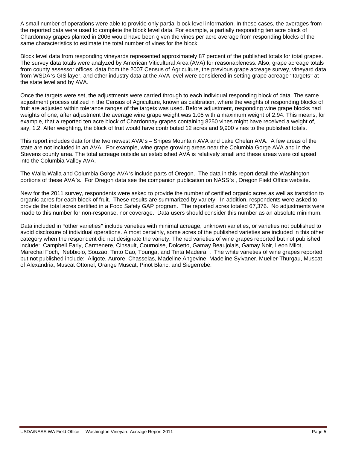A small number of operations were able to provide only partial block level information. In these cases, the averages from the reported data were used to complete the block level data. For example, a partially responding ten acre block of Chardonnay grapes planted in 2006 would have been given the vines per acre average from responding blocks of the same characteristics to estimate the total number of vines for the block.

Block level data from responding vineyards represented approximately 87 percent of the published totals for total grapes. The survey data totals were analyzed by American Viticultural Area (AVA) for reasonableness. Also, grape acreage totals from county assessor offices, data from the 2007 Census of Agriculture, the previous grape acreage survey, vineyard data from WSDA's GIS layer, and other industry data at the AVA level were considered in setting grape acreage "targets" at the state level and by AVA.

Once the targets were set, the adjustments were carried through to each individual responding block of data. The same adjustment process utilized in the Census of Agriculture, known as calibration, where the weights of responding blocks of fruit are adjusted within tolerance ranges of the targets was used. Before adjustment, responding wine grape blocks had weights of one; after adjustment the average wine grape weight was 1.05 with a maximum weight of 2.94. This means, for example, that a reported ten acre block of Chardonnay grapes containing 8250 vines might have received a weight of, say, 1.2. After weighting, the block of fruit would have contributed 12 acres and 9,900 vines to the published totals.

This report includes data for the two newest AVA's – Snipes Mountain AVA and Lake Chelan AVA. A few areas of the state are not included in an AVA. For example, wine grape growing areas near the Columbia Gorge AVA and in the Stevens county area. The total acreage outside an established AVA is relatively small and these areas were collapsed into the Columbia Valley AVA.

The Walla Walla and Columbia Gorge AVA's include parts of Oregon. The data in this report detail the Washington portions of these AVA's. For Oregon data see the companion publication on NASS's , Oregon Field Office website.

New for the 2011 survey, respondents were asked to provide the number of certified organic acres as well as transition to organic acres for each block of fruit. These results are summarized by variety. In addition, respondents were asked to provide the total acres certified in a Food Safety GAP program. The reported acres totaled 67,376. No adjustments were made to this number for non-response, nor coverage. Data users should consider this number as an absolute minimum.

Data included in "other varieties" include varieties with minimal acreage, unknown varieties, or varieties not published to avoid disclosure of individual operations. Almost certainly, some acres of the published varieties are included in this other category when the respondent did not designate the variety. The red varieties of wine grapes reported but not published include: Campbell Early, Carmenere, Cinsault, Cournoise, Dolcetto, Gamay Beaujolais, Gamay Noir, Leon Milot, Marechal Foch, Nebbiolo, Souzao, Tinto Cao, Touriga, and Tinta Madeira, . The white varieties of wine grapes reported but not published include: Aligote, Aurore, Chasselas, Madeline Angevine, Madeline Sylvaner, Mueller-Thurgau, Muscat of Alexandria, Muscat Ottonel, Orange Muscat, Pinot Blanc, and Siegerrebe.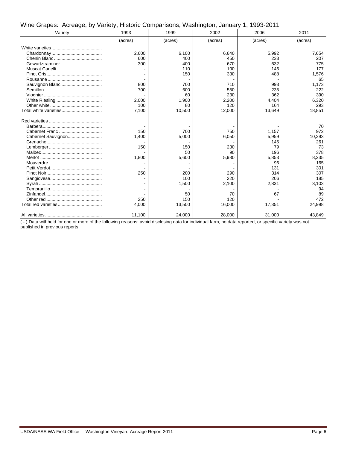| Wine Grapes: Acreage, by Variety, Historic Comparisons, Washington, January 1, 1993-2011 |  |  |  |  |  |  |  |
|------------------------------------------------------------------------------------------|--|--|--|--|--|--|--|
|------------------------------------------------------------------------------------------|--|--|--|--|--|--|--|

| Variety            | 1993    | 1999    | 2002    | 2006    | 2011    |
|--------------------|---------|---------|---------|---------|---------|
|                    | (acres) | (acres) | (acres) | (acres) | (acres) |
|                    |         |         |         |         |         |
|                    | 2,600   | 6,100   | 6,640   | 5,992   | 7,654   |
|                    | 600     | 400     | 450     | 233     | 207     |
|                    | 300     | 400     | 670     | 632     | 775     |
|                    |         | 110     | 100     | 146     | 177     |
|                    |         | 150     | 330     | 488     | 1,576   |
|                    |         |         |         |         | 65      |
| Sauvignon Blanc    | 800     | 700     | 710     | 993     | 1,173   |
|                    | 700     | 600     | 550     | 235     | 222     |
|                    |         | 60      | 230     | 362     | 390     |
|                    | 2,000   | 1,900   | 2,200   | 4,404   | 6,320   |
|                    | 100     | 80      | 120     | 164     | 293     |
|                    | 7,100   | 10,500  | 12,000  | 13,649  | 18,851  |
|                    |         |         |         |         |         |
|                    |         |         |         |         | 70      |
|                    | 150     | 700     | 750     | 1,157   | 972     |
| Cabernet Sauvignon | 1,400   | 5,000   | 6,050   | 5,959   | 10,293  |
|                    |         |         |         | 145     | 261     |
|                    | 150     | 150     | 230     | 79      | 73      |
|                    |         | 50      | 90      | 196     | 378     |
|                    | 1,800   | 5,600   | 5,980   | 5,853   | 8,235   |
|                    |         |         |         | 96      | 165     |
|                    |         |         |         | 131     | 301     |
|                    | 250     | 200     | 290     | 314     | 307     |
|                    |         | 100     | 220     | 206     | 185     |
|                    |         | 1,500   | 2,100   | 2,831   | 3,103   |
|                    |         |         |         |         | 94      |
|                    |         | 50      | 70      | 67      | 89      |
|                    | 250     | 150     | 120     |         | 472     |
|                    | 4.000   | 13,500  | 16,000  | 17,351  | 24,998  |
|                    | 11,100  | 24,000  | 28,000  | 31,000  | 43,849  |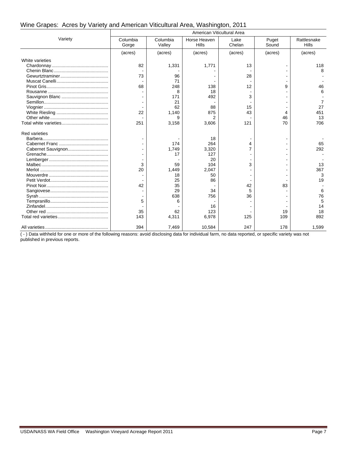#### Wine Grapes: Acres by Variety and American Viticultural Area, Washington, 2011

|                      | American Viticultural Area |                    |                              |                |                |                             |  |
|----------------------|----------------------------|--------------------|------------------------------|----------------|----------------|-----------------------------|--|
| Variety              | Columbia<br>Gorge          | Columbia<br>Valley | Horse Heaven<br><b>Hills</b> | Lake<br>Chelan | Puget<br>Sound | Rattlesnake<br><b>Hills</b> |  |
|                      | (acres)                    | (acres)            | (acres)                      | (acres)        | (acres)        | (acres)                     |  |
| White varieties      |                            |                    |                              |                |                |                             |  |
|                      | 82                         | 1,331              | 1,771                        | 13             |                | 118                         |  |
|                      |                            |                    |                              |                |                |                             |  |
|                      | 73                         | 96                 |                              | 28             |                |                             |  |
|                      |                            | 71                 |                              |                |                |                             |  |
|                      | 68                         | 248                | 138                          | 12             | 9              | 46                          |  |
|                      |                            | 8                  | 18                           |                |                | 6                           |  |
|                      |                            | 171                | 492                          | 3              |                |                             |  |
|                      |                            | 21                 |                              |                |                | 7                           |  |
|                      |                            | 62                 | 88                           | 15             |                | 27                          |  |
|                      | 22                         | 1,140              | 875                          | 43             | 4              | 451                         |  |
|                      |                            | я                  | $\overline{2}$               |                | 46             | 13                          |  |
|                      | 251                        | 3,158              | 3,606                        | 121            | 70             | 706                         |  |
| <b>Red varieties</b> |                            |                    |                              |                |                |                             |  |
|                      |                            |                    | 18                           |                |                |                             |  |
|                      |                            | 174                | 264                          | 4              |                | 65                          |  |
|                      |                            | 1,749              | 3,320                        |                |                | 292                         |  |
|                      |                            | 17                 | 127                          |                |                |                             |  |
|                      |                            |                    | 20                           |                |                |                             |  |
|                      | 3                          | 59                 | 104                          | 3              |                | 13                          |  |
|                      | 20                         | 1,449              | 2,047                        |                |                | 367                         |  |
|                      |                            | 18                 | 50                           |                |                | 3                           |  |
|                      |                            | 25                 | 86                           |                |                | 19                          |  |
|                      | 42                         | 35                 |                              | 42             | 83             |                             |  |
|                      |                            | 29                 | 34                           | 5              |                |                             |  |
|                      |                            | 638                | 756                          | 36             |                | 76                          |  |
|                      | 5                          | 6                  |                              |                |                |                             |  |
|                      |                            |                    | 16                           |                |                | 14                          |  |
|                      | 35                         | 62                 | 123                          |                | 19             | 18                          |  |
|                      | 143                        | 4,311              | 6,978                        | 125            | 109            | 892                         |  |
|                      | 394                        | 7,469              | 10,584                       | 247            | 178            | 1,599                       |  |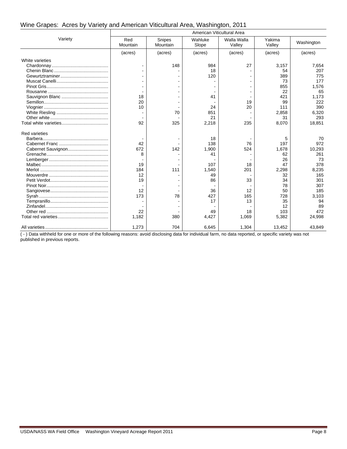#### Wine Grapes: Acres by Variety and American Viticultural Area, Washington, 2011

|                      | American Viticultural Area |                    |                  |                       |                  |            |  |  |
|----------------------|----------------------------|--------------------|------------------|-----------------------|------------------|------------|--|--|
| Variety              | Red<br>Mountain            | Snipes<br>Mountain | Wahluke<br>Slope | Walla Walla<br>Valley | Yakima<br>Valley | Washington |  |  |
|                      | (acres)                    | (acres)            | (acres)          | (acres)               | (acres)          | (acres)    |  |  |
| White varieties      |                            |                    |                  |                       |                  |            |  |  |
|                      |                            | 148                | 984              | 27                    | 3,157            | 7.654      |  |  |
|                      |                            |                    | 18               |                       | 54               | 207        |  |  |
|                      |                            |                    | 120              |                       | 389              | 775        |  |  |
|                      |                            |                    |                  |                       | 73               | 177        |  |  |
|                      |                            |                    |                  |                       | 855              | 1,576      |  |  |
|                      |                            |                    |                  |                       | 22               | 65         |  |  |
|                      | 18                         |                    | 41               |                       | 421              | 1,173      |  |  |
|                      | 20                         |                    |                  | 19                    | 99               | 222        |  |  |
|                      | 10                         |                    | 24               | 20                    | 111              | 390        |  |  |
|                      |                            | 70                 | 851              |                       | 2,858            | 6,320      |  |  |
|                      |                            |                    | 21               |                       | 31               | 293        |  |  |
|                      | 92                         | 325                | 2,218            | 235                   | 8,070            | 18,851     |  |  |
| <b>Red varieties</b> |                            |                    |                  |                       |                  |            |  |  |
|                      |                            |                    | 18               |                       | 5                | 70         |  |  |
|                      | 42                         |                    | 138              | 76                    | 197              | 972        |  |  |
|                      | 672                        | 142                | 1,900            | 524                   | 1,678            | 10.293     |  |  |
|                      | 8                          |                    | 41               |                       | 62               | 261        |  |  |
|                      |                            |                    |                  |                       | 26               | 73         |  |  |
|                      | 19                         |                    | 107              | 18                    | 47               | 378        |  |  |
|                      | 184                        | 111                | 1,540            | 201                   | 2,298            | 8,235      |  |  |
|                      | 12                         |                    | 49               |                       | 32               | 165        |  |  |
|                      | 19                         |                    | 86               | 33                    | 34               | 301        |  |  |
|                      |                            |                    |                  |                       | 78               | 307        |  |  |
|                      | 12                         |                    | 36               | 12                    | 50               | 185        |  |  |
|                      | 173                        | 78                 | 427              | 165                   | 728              | 3,103      |  |  |
|                      |                            |                    | 17               | 13                    | 35               | 94         |  |  |
|                      |                            |                    |                  |                       | 12               | 89         |  |  |
|                      | 22                         |                    | 49               | 18                    | 103              | 472        |  |  |
|                      | 1,182                      | 380                | 4,427            | 1,069                 | 5,382            | 24,998     |  |  |
|                      | 1,273                      | 704                | 6,645            | 1,304                 | 13,452           | 43.849     |  |  |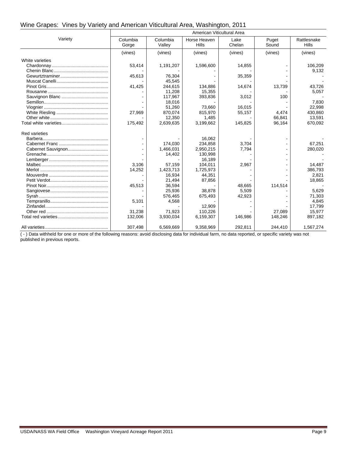#### Wine Grapes: Vines by Variety and American Viticultural Area, Washington, 2011

|                      | American Viticultural Area |                    |                              |                |                |                      |  |
|----------------------|----------------------------|--------------------|------------------------------|----------------|----------------|----------------------|--|
| Variety              | Columbia<br>Gorge          | Columbia<br>Valley | Horse Heaven<br><b>Hills</b> | Lake<br>Chelan | Puget<br>Sound | Rattlesnake<br>Hills |  |
|                      | (vines)                    | (vines)            | (vines)                      | (vines)        | (vines)        | (vines)              |  |
| White varieties      |                            |                    |                              |                |                |                      |  |
|                      | 53,414                     | 1,191,207          | 1,596,600                    | 14,855         |                | 106,209              |  |
|                      |                            |                    |                              |                |                | 9,132                |  |
|                      | 45,613                     | 76,304             |                              | 35,359         |                |                      |  |
|                      |                            | 45,545             |                              |                |                |                      |  |
|                      | 41,425                     | 244,615            | 134,886                      | 14,674         | 13,739         | 43,726               |  |
|                      |                            | 11,208             | 15,355                       |                |                | 5,057                |  |
|                      |                            | 117,967            | 393,836                      | 3,012          | 100            |                      |  |
|                      |                            | 18.016             |                              |                |                | 7,830                |  |
|                      |                            | 51,260             | 73,660                       | 16,015         |                | 22,998               |  |
|                      | 27,969                     | 870,074            | 815,970                      | 55,157         | 4,474          | 430,860              |  |
|                      |                            | 12,350             | 1,485                        |                | 66,841         | 13,591               |  |
|                      | 175,492                    | 2,639,635          | 3,199,662                    | 145,825        | 96,164         | 670,092              |  |
| <b>Red varieties</b> |                            |                    |                              |                |                |                      |  |
|                      |                            |                    | 16.062                       |                |                |                      |  |
|                      |                            | 174,030            | 234,858                      | 3,704          |                | 67,251               |  |
|                      |                            | 1,466,031          | 2,950,215                    | 7,794          |                | 280,020              |  |
|                      |                            | 14,402             | 130,998                      |                |                |                      |  |
|                      |                            |                    | 16,189                       |                |                |                      |  |
|                      | 3,106                      | 57,159             | 104,011                      | 2,967          |                | 14,487               |  |
|                      | 14,252                     | 1,423,713          | 1,725,973                    |                |                | 386,793              |  |
|                      |                            | 16,934             | 44,351                       |                |                | 2,821                |  |
|                      |                            | 21,494             | 87,856                       |                |                | 18,865               |  |
|                      | 45,513                     | 36,594             |                              | 48.665         | 114,514        |                      |  |
|                      |                            | 25,936             | 38,878                       | 5,509          |                | 5,629                |  |
|                      |                            | 576,465            | 675,493                      | 42,923         |                | 71,303               |  |
|                      | 5,101                      | 4,568              |                              |                |                | 4,845                |  |
|                      |                            |                    | 12.909                       |                |                | 17,799               |  |
|                      | 31,238                     | 71,923             | 110,226                      |                | 27,089         | 15,977               |  |
|                      | 132,006                    | 3,930,034          | 6,159,307                    | 146,986        | 148,246        | 897,182              |  |
|                      | 307,498                    | 6,569,669          | 9,358,969                    | 292,811        | 244,410        | 1,567,274            |  |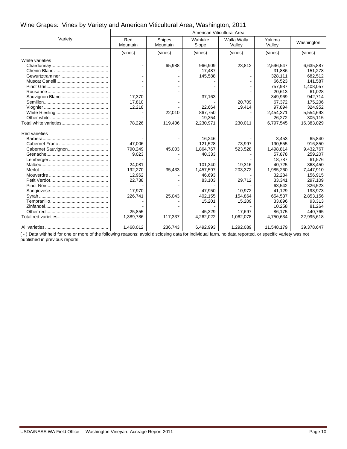#### Wine Grapes: Vines by Variety and American Viticultural Area, Washington, 2011

|                      | American Viticultural Area |                           |                  |                       |                  |            |  |  |
|----------------------|----------------------------|---------------------------|------------------|-----------------------|------------------|------------|--|--|
| Variety              | Red<br>Mountain            | <b>Snipes</b><br>Mountain | Wahluke<br>Slope | Walla Walla<br>Valley | Yakima<br>Valley | Washington |  |  |
|                      | (vines)                    | (vines)                   | (vines)          | (vines)               | (vines)          | (vines)    |  |  |
| White varieties      |                            |                           |                  |                       |                  |            |  |  |
|                      |                            | 65,988                    | 966,909          | 23,812                | 2,596,547        | 6,635,887  |  |  |
|                      |                            |                           | 17,487           |                       | 31,886           | 151,278    |  |  |
|                      |                            |                           | 145,588          |                       | 328,111          | 682,512    |  |  |
|                      |                            |                           |                  |                       | 66,523           | 141,587    |  |  |
|                      |                            |                           |                  |                       | 757,987          | 1,408,057  |  |  |
|                      |                            |                           |                  |                       | 20,613           | 61,028     |  |  |
|                      | 17,370                     |                           | 37,163           |                       | 349,969          | 942,714    |  |  |
|                      | 17,810                     |                           |                  | 20,709                | 67,372           | 175,206    |  |  |
|                      | 12,218                     |                           | 22,664           | 19,414                | 97,894           | 324,952    |  |  |
|                      |                            | 22,010                    | 867,750          |                       | 2,454,371        | 5,554,693  |  |  |
|                      |                            |                           | 19,354           |                       | 26,272           | 305,115    |  |  |
|                      | 78,226                     | 119,406                   | 2,230,971        | 230,011               | 6,797,545        | 16,383,029 |  |  |
| <b>Red varieties</b> |                            |                           |                  |                       |                  |            |  |  |
|                      |                            |                           | 16,246           |                       | 3,453            | 65.840     |  |  |
|                      | 47,006                     |                           | 121,528          | 73,997                | 190,555          | 916,850    |  |  |
|                      | 790,249                    | 45,003                    | 1,864,767        | 523,528               | 1,498,814        | 9,432,767  |  |  |
|                      | 9,023                      |                           | 40,333           |                       | 57,878           | 259,207    |  |  |
|                      |                            |                           |                  |                       | 18,787           | 61,576     |  |  |
|                      | 24,081                     |                           | 101,340          | 19,316                | 40,725           | 368,450    |  |  |
|                      | 192,270                    | 35,433                    | 1,457,597        | 203,372               | 1,985,260        | 7,447,910  |  |  |
|                      | 12,962                     |                           | 46,693           |                       | 32,284           | 156,915    |  |  |
|                      | 22,738                     |                           | 83,103           | 29,712                | 33,341           | 297,109    |  |  |
|                      |                            |                           |                  |                       | 63,542           | 326,523    |  |  |
|                      | 17,970                     |                           | 47,950           | 10.972                | 41,129           | 193,973    |  |  |
|                      | 226,741                    | 25,043                    | 402,155          | 154,864               | 654,537          | 2,853,156  |  |  |
|                      |                            |                           | 15,201           | 15,209                | 33,896           | 93,313     |  |  |
|                      |                            |                           |                  |                       | 10,258           | 81,264     |  |  |
|                      | 25,855                     |                           | 45,329           | 17,697                | 86,175           | 440,765    |  |  |
|                      | 1,389,786                  | 117,337                   | 4,262,022        | 1,062,078             | 4,750,634        | 22,995,618 |  |  |
|                      | 1,468,012                  | 236,743                   | 6,492,993        | 1,292,089             | 11,548,179       | 39,378,647 |  |  |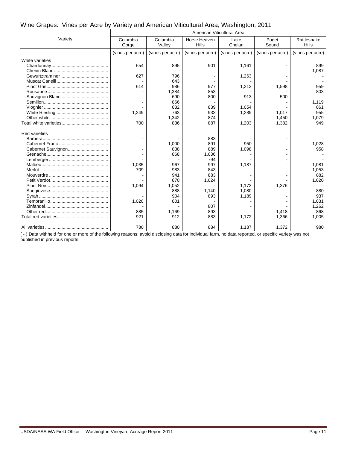#### Wine Grapes: Vines per Acre by Variety and American Viticultural Area, Washington, 2011

|                      | American Viticultural Area |                    |                              |                  |                  |                      |  |  |
|----------------------|----------------------------|--------------------|------------------------------|------------------|------------------|----------------------|--|--|
| Variety              | Columbia<br>Gorge          | Columbia<br>Valley | Horse Heaven<br><b>Hills</b> | Lake<br>Chelan   | Puget<br>Sound   | Rattlesnake<br>Hills |  |  |
|                      | (vines per acre)           | (vines per acre)   | (vines per acre)             | (vines per acre) | (vines per acre) | (vines per acre)     |  |  |
| White varieties      |                            |                    |                              |                  |                  |                      |  |  |
|                      | 654                        | 895                | 901                          | 1,161            |                  | 899                  |  |  |
|                      |                            |                    |                              |                  |                  | 1,087                |  |  |
|                      | 627                        | 796                |                              | 1,263            |                  |                      |  |  |
|                      |                            | 643                |                              |                  |                  |                      |  |  |
|                      | 614                        | 986                | 977                          | 1,213            | 1,598            | 959                  |  |  |
|                      |                            | 1,384              | 853                          |                  |                  | 803                  |  |  |
|                      |                            | 690                | 800                          | 913              | 500              |                      |  |  |
|                      |                            | 866                |                              |                  |                  | 1,119                |  |  |
|                      |                            | 832                | 839                          | 1,054            |                  | 861                  |  |  |
|                      | 1.249                      | 763                | 933                          | 1,289            | 1.017            | 955                  |  |  |
|                      |                            | 1,342              | 874                          |                  | 1,450            | 1,079                |  |  |
|                      | 700                        | 836                | 887                          | 1,203            | 1,382            | 949                  |  |  |
| <b>Red varieties</b> |                            |                    |                              |                  |                  |                      |  |  |
|                      |                            |                    | 883                          |                  |                  |                      |  |  |
|                      |                            | 1,000              | 891                          | 950              |                  | 1,028                |  |  |
|                      |                            | 838                | 889                          | 1,098            |                  | 958                  |  |  |
|                      |                            | 868                | 1,036                        |                  |                  |                      |  |  |
|                      |                            |                    | 794                          |                  |                  |                      |  |  |
|                      | 1,035                      | 967                | 997                          | 1,187            |                  | 1,081                |  |  |
|                      | 709                        | 983                | 843                          |                  |                  | 1,053                |  |  |
|                      |                            | 941                | 883                          |                  |                  | 882                  |  |  |
|                      |                            | 870                | 1,024                        |                  |                  | 1,020                |  |  |
|                      | 1,094                      | 1,052              |                              | 1,173            | 1,376            |                      |  |  |
|                      |                            | 888                | 1,140                        | 1.080            |                  | 880                  |  |  |
|                      |                            | 904                | 893                          | 1,189            |                  | 937                  |  |  |
|                      | 1,020                      | 801                |                              |                  |                  | 1,031                |  |  |
|                      |                            |                    | 807                          |                  |                  | 1,262                |  |  |
|                      | 885                        | 1.169              | 893                          |                  | 1,418            | 868                  |  |  |
|                      | 921                        | 912                | 883                          | 1,172            | 1,366            | 1,005                |  |  |
|                      | 780                        | 880                | 884                          | 1,187            | 1,372            | 980                  |  |  |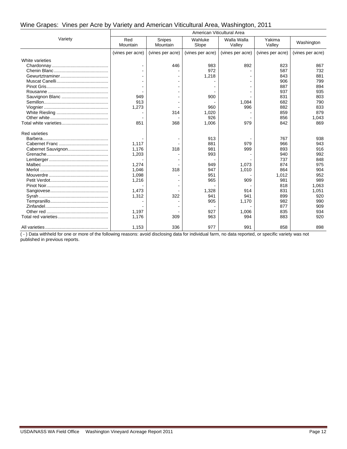#### Wine Grapes: Vines per Acre by Variety and American Viticultural Area, Washington, 2011

|                      | American Viticultural Area |                    |                  |                       |                  |                  |  |  |
|----------------------|----------------------------|--------------------|------------------|-----------------------|------------------|------------------|--|--|
| Variety              | Red<br>Mountain            | Snipes<br>Mountain | Wahluke<br>Slope | Walla Walla<br>Valley | Yakima<br>Valley | Washington       |  |  |
|                      | (vines per acre)           | (vines per acre)   | (vines per acre) | (vines per acre)      | (vines per acre) | (vines per acre) |  |  |
| White varieties      |                            |                    |                  |                       |                  |                  |  |  |
|                      |                            | 446                | 983              | 892                   | 823              | 867              |  |  |
|                      |                            |                    | 972              |                       | 587              | 732              |  |  |
|                      |                            |                    | 1,218            |                       | 843              | 881              |  |  |
|                      |                            |                    |                  |                       | 906              | 799              |  |  |
|                      |                            |                    |                  |                       | 887              | 894              |  |  |
|                      |                            |                    |                  |                       | 937              | 935              |  |  |
|                      | 949                        |                    | 900              |                       | 831              | 803              |  |  |
|                      | 913                        |                    |                  | 1,084                 | 682              | 790              |  |  |
|                      | 1,273                      |                    | 960              | 996                   | 882              | 833              |  |  |
|                      |                            | 314                | 1.020            |                       | 859              | 879              |  |  |
|                      |                            |                    | 926              |                       | 856              | 1,043            |  |  |
|                      | 851                        | 368                | 1,006            | 979                   | 842              | 869              |  |  |
| <b>Red varieties</b> |                            |                    |                  |                       |                  |                  |  |  |
|                      |                            |                    | 913              |                       | 767              | 938              |  |  |
|                      | 1,117                      |                    | 881              | 979                   | 966              | 943              |  |  |
|                      | 1,176                      | 318                | 981              | 999                   | 893              | 916              |  |  |
|                      | 1,203                      |                    | 993              |                       | 940              | 992              |  |  |
|                      |                            |                    |                  |                       | 737              | 848              |  |  |
|                      | 1,274                      |                    | 949              | 1,073                 | 874              | 975              |  |  |
|                      | 1.046                      | 318                | 947              | 1,010                 | 864              | 904              |  |  |
|                      | 1,098                      |                    | 951              |                       | 1,012            | 952              |  |  |
|                      | 1,216                      |                    | 965              | 909                   | 981              | 989              |  |  |
|                      |                            |                    |                  |                       | 818              | 1.063            |  |  |
|                      | 1,473                      |                    | 1,328            | 914                   | 831              | 1,051            |  |  |
|                      | 1,312                      | 322                | 941              | 941                   | 899              | 920              |  |  |
|                      |                            |                    | 905              | 1,170                 | 982              | 990              |  |  |
|                      |                            |                    |                  |                       | 877              | 909              |  |  |
|                      | 1,197                      |                    | 927              | 1,006                 | 835              | 934              |  |  |
|                      | 1,176                      | 309                | 963              | 994                   | 883              | 920              |  |  |
|                      | 1,153                      | 336                | 977              | 991                   | 858              | 898              |  |  |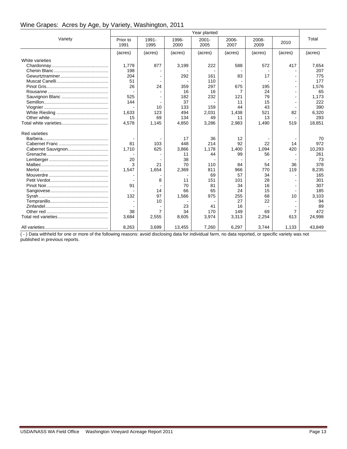#### Wine Grapes: Acres by Age, by Variety, Washington, 2011

|                      |                  |               |               | Year planted     |               |               |                |         |
|----------------------|------------------|---------------|---------------|------------------|---------------|---------------|----------------|---------|
| Variety              | Prior to<br>1991 | 1991-<br>1995 | 1996-<br>2000 | $2001 -$<br>2005 | 2006-<br>2007 | 2008-<br>2009 | 2010           | Total   |
|                      | (acres)          | (acres)       | (acres)       | (acres)          | (acres)       | (acres)       | (acres)        | (acres) |
| White varieties      |                  |               |               |                  |               |               |                |         |
|                      | 1,779            | 877           | 3,199         | 222              | 588           | 572           | 417            | 7,654   |
|                      | 198              |               |               |                  |               |               |                | 207     |
|                      | 204              |               | 292           | 161              | 83            | 17            |                | 775     |
|                      | 51               |               |               | 110              |               |               |                | 177     |
|                      | 26               | 24            | 359           | 297              | 675           | 195           |                | 1,576   |
|                      |                  |               | 16            | 16               | 7             | 24            |                | 65      |
|                      | 525              |               | 182           | 232              | 121           | 79            |                | 1,173   |
|                      | 144              |               | 37            |                  | 11            | 15            |                | 222     |
|                      |                  | 10            | 133           | 159              | 44            | 43            |                | 390     |
|                      | 1.633            | 123           | 494           | 2,031            | 1,438         | 521           | 82             | 6,320   |
|                      | 15               | 69            | 134           | 49               | 11            | 13            |                | 293     |
|                      | 4,578            | 1,145         | 4,850         | 3,286            | 2,983         | 1,490         | 519            | 18,851  |
| <b>Red varieties</b> |                  |               |               |                  |               |               |                |         |
|                      |                  |               | 17            | 36               | 12            |               |                | 70      |
|                      | 81               | 103           | 448           | 214              | 92            | 22            | 14             | 972     |
| Cabernet Sauvignon   | 1.710            | 625           | 3,866         | 1.178            | 1,400         | 1,094         | 420            | 10.293  |
|                      |                  |               | 11            | 44               | 99            | 56            |                | 261     |
|                      | 20               |               | 38            |                  |               |               |                | 73      |
|                      | 3                | 21            | 70            | 110              | 84            | 54            | 36             | 378     |
|                      | 1,547            | 1,654         | 2,369         | 811              | 966           | 770           | 119            | 8,235   |
|                      |                  |               |               | 69               | 57            | 34            |                | 165     |
|                      |                  | 8             | 11            | 151              | 101           | 28            |                | 301     |
|                      | 91               |               | 70            | 81               | 34            | 16            |                | 307     |
|                      |                  | 14            | 66            | 65               | 24            | 15            |                | 185     |
|                      | 132              | 97            | 1,566         | 975              | 255           | 68            | 10             | 3,103   |
|                      |                  | 10            |               |                  | 27            | 22            |                | 94      |
|                      |                  |               | 23            | 41               | 16            |               |                | 89      |
|                      | 38               | 7             | 34            | 170              | 149           | 69            | $\overline{7}$ | 472     |
|                      | 3,684            | 2,555         | 8,605         | 3,974            | 3,313         | 2,254         | 613            | 24,998  |
|                      | 8,263            | 3,699         | 13,455        | 7,260            | 6,297         | 3,744         | 1,133          | 43,849  |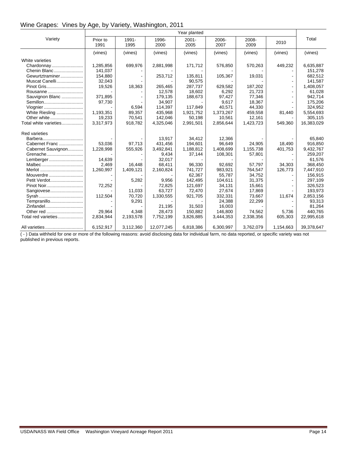#### Wine Grapes: Vines by Age, by Variety, Washington, 2011

|                       | Year planted     |               |               |                  |               |               |           |            |
|-----------------------|------------------|---------------|---------------|------------------|---------------|---------------|-----------|------------|
| Variety               | Prior to<br>1991 | 1991-<br>1995 | 1996-<br>2000 | $2001 -$<br>2005 | 2006-<br>2007 | 2008-<br>2009 | 2010      | Total      |
|                       | (vines)          | (vines)       | (vines)       | (vines)          | (vines)       | (vines)       | (vines)   | (vines)    |
| White varieties       |                  |               |               |                  |               |               |           |            |
| Chardonnay            | 1,285,856        | 699,976       | 2,881,998     | 171,712          | 576,850       | 570,263       | 449,232   | 6,635,887  |
| Chenin Blanc          | 141.037          |               |               |                  |               |               |           | 151.278    |
| Gewurtztraminer       | 154,880          |               | 253,712       | 135,811          | 105,367       | 19,031        |           | 682,512    |
| Muscat Canelli        | 32,043           |               |               | 90,575           |               |               |           | 141,587    |
| Pinot Gris            | 19,526           | 18,363        | 265,465       | 287,737          | 629,582       | 187,202       |           | 1,408,057  |
| Rousanne              |                  |               | 12,578        | 18,602           | 6,292         | 21.723        |           | 61,028     |
| Sauvignon Blanc       | 371,895          |               | 179,135       | 188,673          | 97,427        | 77,346        |           | 942,714    |
| Semillon              | 97,730           |               | 34,907        |                  | 9,617         | 18,367        |           | 175,206    |
| Viognier              |                  | 6,594         | 114,397       | 117,849          | 40,571        | 44,330        |           | 324,952    |
| White Riesling        | 1,193,351        | 89.357        | 435,968       | 1,921,752        | 1,373,267     | 459,558       | 81,440    | 5,554,693  |
| Other white           | 19,233           | 70,541        | 142,046       | 50,198           | 10,561        | 12,161        |           | 305,115    |
| Total white varieties | 3,317,973        | 918,782       | 4,325,046     | 2,991,501        | 2,856,644     | 1,423,723     | 549,360   | 16,383,029 |
| <b>Red varieties</b>  |                  |               |               |                  |               |               |           |            |
|                       |                  |               | 13,917        | 34.412           | 12,366        |               |           | 65,840     |
| Cabernet Franc        | 53,036           | 97.713        | 431,456       | 194,601          | 96,649        | 24,905        | 18.490    | 916,850    |
| Cabernet Sauvignon    | 1.228.998        | 555,926       | 3,492,841     | 1,188,812        | 1,408,699     | 1,155,738     | 401,753   | 9,432,767  |
| Grenache              |                  |               | 9,434         | 37,144           | 108,301       | 57,801        |           | 259,207    |
| Lemberger             | 14,639           |               | 32,017        |                  |               |               |           | 61,576     |
| Malbec                | 2,469            | 16,448        | 68,411        | 96,330           | 92,692        | 57,797        | 34,303    | 368,450    |
|                       | 1,260,997        | 1,409,121     | 2,160,824     | 741,727          | 983,921       | 764,547       | 126,773   | 7,447,910  |
| Mouverdre             |                  |               |               | 62,367           | 55,787        | 34,752        |           | 156,915    |
| Petit Verdot          |                  | 5,282         | 9,956         | 142,495          | 104,611       | 31,375        |           | 297,109    |
| Pinot Noir            | 72,252           |               | 72,825        | 121,697          | 34,131        | 15,661        |           | 326,523    |
| Sangiovese            |                  | 11.033        | 63.727        | 72,470           | 27,674        | 17,869        |           | 193,973    |
|                       | 112,504          | 70.720        | 1,330,555     | 921,705          | 332,331       | 73,667        | 11,674    | 2,853,156  |
| Tempranillo           |                  | 9,291         |               |                  | 24.388        | 22,299        |           | 93,313     |
| Zinfandel             |                  |               | 21,195        | 31,503           | 16,003        |               |           | 81,264     |
| Other red             | 29.964           | 4,348         | 28,473        | 150,882          | 146.800       | 74,562        | 5.736     | 440,765    |
| Total red varieties   | 2,834,944        | 2,193,578     | 7,752,199     | 3,826,885        | 3,444,353     | 2,338,356     | 605,303   | 22,995,618 |
| All varieties         | 6,152,917        | 3,112,360     | 12,077,245    | 6,818,386        | 6,300,997     | 3,762,079     | 1,154,663 | 39,378,647 |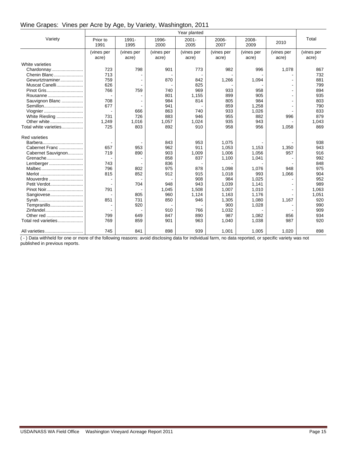#### Wine Grapes: Vines per Acre by Age, by Variety, Washington, 2011

|                       |                     |                     |                     | Year planted        |                     |                     |                     |                     |
|-----------------------|---------------------|---------------------|---------------------|---------------------|---------------------|---------------------|---------------------|---------------------|
| Variety               | Prior to<br>1991    | 1991-<br>1995       | 1996-<br>2000       | $2001 -$<br>2005    | 2006-<br>2007       | 2008-<br>2009       | 2010                | Total               |
|                       | (vines per<br>acre) | (vines per<br>acre) | (vines per<br>acre) | (vines per<br>acre) | (vines per<br>acre) | (vines per<br>acre) | (vines per<br>acre) | (vines per<br>acre) |
| White varieties       |                     |                     |                     |                     |                     |                     |                     |                     |
| Chardonnay            | 723                 | 798                 | 901                 | 773                 | 982                 | 996                 | 1,078               | 867                 |
| Chenin Blanc          | 713                 |                     |                     |                     |                     |                     |                     | 732                 |
| Gewurtztraminer       | 759                 |                     | 870                 | 842                 | 1,266               | 1,094               |                     | 881                 |
| Muscat Canelli        | 626                 |                     |                     | 825                 |                     |                     |                     | 799                 |
| Pinot Gris            | 766                 | 759                 | 740                 | 969                 | 933                 | 958                 |                     | 894                 |
| Rousanne              |                     |                     | 801                 | 1,155               | 899                 | 905                 |                     | 935                 |
| Sauvignon Blanc       | 708                 |                     | 984                 | 814                 | 805                 | 984                 |                     | 803                 |
| Semillon              | 677                 |                     | 941                 |                     | 859                 | 1,258               |                     | 790                 |
| Viognier              |                     | 666                 | 863                 | 740                 | 933                 | 1,026               |                     | 833                 |
| White Riesling        | 731                 | 726                 | 883                 | 946                 | 955                 | 882                 | 996                 | 879                 |
| Other white           | 1,249               | 1,016               | 1,057               | 1,024               | 935                 | 943                 |                     | 1,043               |
| Total white varieties | 725                 | 803                 | 892                 | 910                 | 958                 | 956                 | 1,058               | 869                 |
| <b>Red varieties</b>  |                     |                     |                     |                     |                     |                     |                     |                     |
| Barbera               |                     |                     | 843                 | 953                 | 1,075               |                     |                     | 938                 |
| Cabernet Franc        | 657                 | 953                 | 962                 | 911                 | 1,053               | 1,153               | 1,350               | 943                 |
| Cabernet Sauvignon    | 719                 | 890                 | 903                 | 1,009               | 1,006               | 1,056               | 957                 | 916                 |
| Grenache              |                     |                     | 858                 | 837                 | 1,100               | 1,041               |                     | 992                 |
| Lemberger             | 743                 |                     | 836                 |                     |                     |                     |                     | 848                 |
| Malbec                | 796                 | 802                 | 975                 | 878                 | 1,098               | 1,076               | 948                 | 975                 |
| Merlot                | 815                 | 852                 | 912                 | 915                 | 1,018               | 993                 | 1,066               | 904                 |
| Mouverdre             |                     |                     |                     | 908                 | 984                 | 1,025               |                     | 952                 |
| Petit Verdot          |                     | 704                 | 948                 | 943                 | 1,039               | 1,141               |                     | 989                 |
|                       | 791                 |                     | 1,045               | 1,508               | 1,007               | 1,010               |                     | 1,063               |
| Sangiovese            |                     | 805                 | 960                 | 1,124               | 1,163               | 1,176               |                     | 1,051               |
|                       | 851                 | 731                 | 850                 | 946                 | 1,305               | 1,080               | 1,167               | 920                 |
| Tempranillo           |                     | 920                 |                     |                     | 900                 | 1,028               |                     | 990                 |
| Zinfandel             |                     |                     | 910                 | 766                 | 1,032               |                     |                     | 909                 |
| Other red             | 799                 | 649                 | 847                 | 890                 | 987                 | 1,082               | 856                 | 934                 |
| Total red varieties   | 769                 | 859                 | 901                 | 963                 | 1,040               | 1,038               | 987                 | 920                 |
|                       | 745                 | 841                 | 898                 | 939                 | 1,001               | 1,005               | 1,020               | 898                 |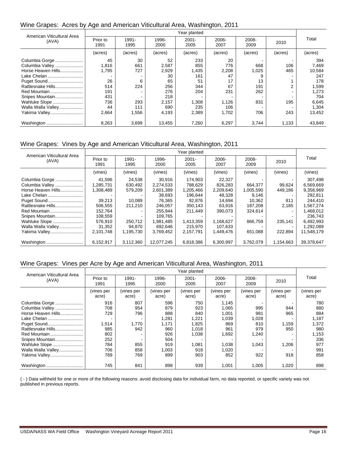#### Wine Grapes: Acres by Age and American Viticultural Area, Washington, 2011

| American Viticultural Area | Year planted     |               |               |                  |               |               |         |         |
|----------------------------|------------------|---------------|---------------|------------------|---------------|---------------|---------|---------|
| (AVA)                      | Prior to<br>1991 | 1991-<br>1995 | 1996-<br>2000 | $2001 -$<br>2005 | 2006-<br>2007 | 2008-<br>2009 | 2010    | Total   |
|                            | (acres)          | (acres)       | (acres)       | (acres)          | (acres)       | (acres)       | (acres) | (acres) |
| Columbia Gorge             | 45               | 30            | 52            | 233              | 20            |               |         | 394     |
|                            | 1,816            | 661           | 2,587         | 855              | 776           | 668           | 106     | 7,469   |
| Horse Heaven Hills         | 1,795            | 727           | 2,929         | 1,435            | 2,208         | 1,025         | 465     | 10,584  |
| Lake Chelan                |                  |               | 30            | 161              | 47            |               |         | 247     |
| Puget Sound                | 26               | 6             | 65            | 51               | 17            | 13            |         | 178     |
| Rattlesnake Hills          | 514              | 224           | 256           | 344              | 67            | 191           | 2       | 1,599   |
| Red Mountain               | 191              |               | 276           | 204              | 231           | 262           |         | 1,273   |
| Snipes Mountain            | 431              |               | 218           |                  |               |               |         | 704     |
| Wahluke Slope              | 736              | 293           | 2,157         | 1.308            | 1.126         | 831           | 195     | 6,645   |
| Walla Walla Valley         | 44               | 111           | 690           | 235              | 106           |               |         | 1,304   |
| Yakima Valley              | 2,664            | 1,556         | 4,193         | 2,389            | 1,702         | 706           | 243     | 13,452  |
| Washington                 | 8,263            | 3,699         | 13,455        | 7,260            | 6,297         | 3.744         | 1,133   | 43,849  |

#### Wine Grapes: Vines by Age and American Viticultural Area, Washington, 2011

|                                       |                        |                    |                        | Year planted         |                      |                      |                   |                        |
|---------------------------------------|------------------------|--------------------|------------------------|----------------------|----------------------|----------------------|-------------------|------------------------|
| American Viticultural Area<br>(AVA)   | Prior to<br>1991       | 1991-<br>1995      | 1996-<br>2000          | $2001 -$<br>2005     | 2006-<br>2007        | 2008-<br>2009        | 2010              | Total                  |
|                                       | (vines)                | (vines)            | (vines)                | (vines)              | (vines)              | (vines)              | (vines)           | (vines)                |
| Columbia Gorge                        | 41.596                 | 24.538             | 30.916                 | 174.903              | 22,327               |                      |                   | 307,498                |
| Columbia Valley<br>Horse Heaven Hills | 1,285,731<br>1,308,489 | 630,492<br>579,209 | 2.274.533<br>2,601,389 | 788.629<br>1,205,466 | 826.283<br>2,209,640 | 664.377<br>1,005,590 | 99.624<br>449,186 | 6,569,669<br>9,358,969 |
| Lake Chelan                           |                        |                    | 38,693                 | 196,644              | 48,328               | 9,146                |                   | 292,811                |
| Puget Sound                           | 39.213                 | 10.089             | 76.365                 | 92.876               | 14,694               | 10.362               | 811               | 244,410                |
| Rattlesnake Hills                     | 506.555                | 211,210            | 246.057                | 350.143              | 63.916               | 187.208              | 2.185             | 1,567,274              |
| Red Mountain                          | 152,764                |                    | 255.944                | 211.449              | 390.073              | 324,614              |                   | 1,468,012              |
| Snipes Mountain                       | 108,559                |                    | 109.765                |                      |                      |                      |                   | 236,743                |
| Wahluke Slope                         | 576,910                | 250.712            | 1,981,485              | 1,413,359            | 1,168,627            | 866,759              | 235,141           | 6,492,993              |
| Walla Walla Valley                    | 31,352                 | 94.870             | 692.646                | 215.970              | 107,633              |                      |                   | 1,292,089              |
| Yakima Valley                         | 2,101,748              | 1,195,730          | 3,769,452              | 2,157,791            | 1,449,476            | 651,088              | 222.894           | 11,548,179             |
| Washington                            | 6,152,917              | 3,112,360          | 12,077,245             | 6,818,386            | 6,300,997            | 3,762,079            | 1,154,663         | 39,378,647             |

#### Wine Grapes: Vines per Acre by Age and American Viticultural Area, Washington, 2011

|                                     | Year planted        |                     |                     |                     |                     |                     |                     |                     |
|-------------------------------------|---------------------|---------------------|---------------------|---------------------|---------------------|---------------------|---------------------|---------------------|
| American Viticultural Area<br>(AVA) | Prior to<br>1991    | 1991-<br>1995       | 1996-<br>2000       | $2001 -$<br>2005    | 2006-<br>2007       | 2008-<br>2009       | 2010                | Total               |
|                                     | (vines per<br>acre) | (vines per<br>acre) | (vines per<br>acre) | (vines per<br>acre) | (vines per<br>acre) | (vines per<br>acre) | (vines per<br>acre) | (vines per<br>acre) |
| Columbia Gorge                      | 916                 | 807                 | 596                 | 750                 | 1.145               |                     |                     | 780                 |
| Columbia Valley                     | 708                 | 954                 | 879                 | 923                 | 1,065               | 995                 | 944                 | 880                 |
| Horse Heaven Hills                  | 729                 | 796                 | 888                 | 840                 | 1,001               | 981                 | 965                 | 884                 |
| Lake Chelan                         |                     |                     | 1,281               | 1,221               | 1,039               | 1,028               |                     | 1,187               |
| Puget Sound                         | 1,514               | 1,770               | 1,171               | 1,825               | 869                 | 810                 | 1,159               | 1,372               |
| Rattlesnake Hills                   | 985                 | 942                 | 960                 | 1,018               | 961                 | 979                 | 950                 | 980                 |
| Red Mountain                        | 802                 |                     | 926                 | 1,038               | 1,692               | 1,240               | ۰                   | 1,153               |
| Snipes Mountain                     | 252                 |                     | 504                 |                     |                     |                     |                     | 336                 |
| Wahluke Slope                       | 784                 | 855                 | 919                 | 1,081               | 1,038               | 1,043               | 1,206               | 977                 |
| Walla Walla Valley                  | 706                 | 858                 | 1,003               | 918                 | 1,020               |                     |                     | 991                 |
| Yakima Valley                       | 789                 | 769                 | 899                 | 903                 | 852                 | 922                 | 918                 | 858                 |
| Washington                          | 745                 | 841                 | 898                 | 939                 | 1,001               | 1,005               | 1,020               | 898                 |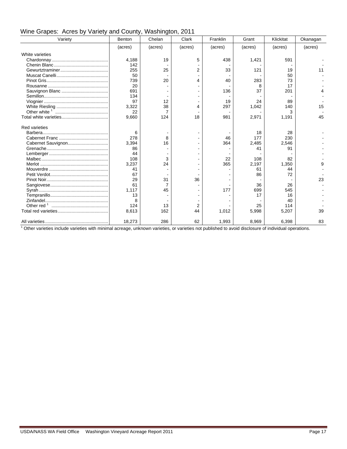| Variety              | $: \alpha \rightarrow \alpha \rightarrow \alpha \rightarrow \alpha \rightarrow \alpha$<br>Benton | .<br>Chelan    | Clark   | Franklin | Grant   | Klickitat | Okanagan |
|----------------------|--------------------------------------------------------------------------------------------------|----------------|---------|----------|---------|-----------|----------|
|                      | (acres)                                                                                          | (acres)        | (acres) | (acres)  | (acres) | (acres)   | (acres)  |
| White varieties      |                                                                                                  |                |         |          |         |           |          |
|                      | 4,188                                                                                            | 19             | 5       | 438      | 1,421   | 591       |          |
|                      | 142                                                                                              |                |         |          |         |           |          |
|                      | 255                                                                                              | 25             | 2       | 33       | 121     | 19        | 11       |
|                      | 50                                                                                               |                |         |          |         | 50        |          |
|                      | 739                                                                                              | 20             | 4       | 40       | 283     | 73        |          |
|                      | 20                                                                                               |                |         |          | 8       | 17        |          |
|                      | 691                                                                                              |                |         | 136      | 37      | 201       |          |
|                      | 134                                                                                              |                |         |          |         |           |          |
|                      | 97                                                                                               | 12             |         | 19       | 24      | 89        |          |
|                      | 3,322                                                                                            | 38             | 4       | 297      | 1,042   | 140       | 15       |
|                      | 22                                                                                               | $\overline{7}$ |         |          |         | 3         |          |
|                      | 9,660                                                                                            | 124            | 18      | 981      | 2,971   | 1,191     | 45       |
| <b>Red varieties</b> |                                                                                                  |                |         |          |         |           |          |
|                      | 6                                                                                                |                |         |          | 18      | 28        |          |
|                      | 278                                                                                              | 8              |         | 46       | 177     | 230       |          |
|                      | 3,394                                                                                            | 16             |         | 364      | 2,485   | 2,546     |          |
|                      | 86                                                                                               |                |         |          | 41      | 91        |          |
|                      | 44                                                                                               |                |         |          |         |           |          |
|                      | 108                                                                                              | 3              |         | 22       | 108     | 82        |          |
|                      | 3,237                                                                                            | 24             |         | 365      | 2,197   | 1,350     |          |
|                      | 41                                                                                               |                |         |          | 61      | 44        |          |
|                      | 67                                                                                               |                |         |          | 86      | 72        |          |
|                      | 29                                                                                               | 31             | 36      |          |         |           | 23       |
|                      | 61                                                                                               | $\overline{7}$ |         |          | 36      | 26        |          |
|                      | 1.117                                                                                            | 45             |         | 177      | 699     | 545       |          |
|                      | 13                                                                                               |                |         |          | 17      | 16        |          |
|                      | 8                                                                                                |                |         |          |         | 40        |          |
|                      | 124                                                                                              | 13             | 2       |          | 25      | 114       |          |
|                      | 8,613                                                                                            | 162            | 44      | 1,012    | 5,998   | 5,207     | 39       |
|                      | 18,273                                                                                           | 286            | 62      | 1,993    | 8,969   | 6,398     | 83       |

 $1$  Other varieties include varieties with minimal acreage, unknown varieties, or varieties not published to avoid disclosure of individual operations.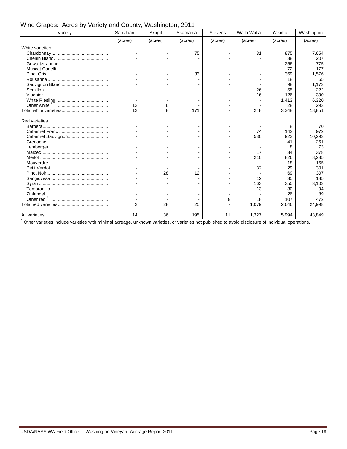| Variety              | San Juan       | Skagit  | Skamania | <b>Stevens</b> | Walla Walla | Yakima  | Washington |
|----------------------|----------------|---------|----------|----------------|-------------|---------|------------|
|                      | (acres)        | (acres) | (acres)  | (acres)        | (acres)     | (acres) | (acres)    |
| White varieties      |                |         |          |                |             |         |            |
|                      |                |         | 75       |                | 31          | 875     | 7,654      |
|                      |                |         |          |                |             | 38      | 207        |
|                      |                |         |          |                |             | 256     | 775        |
|                      |                |         |          |                |             | 72      | 177        |
|                      |                |         | 33       |                |             | 369     | 1,576      |
|                      |                |         |          |                |             | 18      | 65         |
|                      |                |         |          |                |             | 98      | 1,173      |
|                      |                |         |          |                | 26          | 55      | 222        |
|                      |                |         |          |                | 16          | 126     | 390        |
|                      |                |         |          |                |             | 1,413   | 6,320      |
|                      | 12             | 6       |          |                |             | 28      | 293        |
|                      | 12             | 8       | 171      |                | 248         | 3,348   | 18,851     |
| <b>Red varieties</b> |                |         |          |                |             |         |            |
| Barbera              | $\blacksquare$ |         |          |                |             | 8       | 70         |
|                      |                |         |          |                | 74          | 142     | 972        |
|                      |                |         |          |                | 530         | 923     | 10,293     |
|                      |                |         |          |                |             | 41      | 261        |
|                      |                |         |          |                |             |         | 73         |
|                      |                |         |          |                | 17          | 34      | 378        |
|                      |                |         |          |                | 210         | 826     | 8.235      |
|                      |                |         |          |                |             | 18      | 165        |
|                      |                |         |          |                | 32          | 29      | 301        |
|                      |                | 28      | 12       |                |             | 69      | 307        |
|                      |                |         |          |                | 12          | 35      | 185        |
|                      |                |         |          |                | 163         | 350     | 3,103      |
|                      |                |         |          |                | 13          | 30      | 94         |
|                      |                |         |          |                |             | 26      | 89         |
|                      |                |         |          | 8              | 18          | 107     | 472        |
|                      | $\overline{2}$ | 28      | 25       |                | 1,079       | 2,646   | 24,998     |
|                      | 14             | 36      | 195      | 11             | 1,327       | 5,994   | 43.849     |

Wine Grapes: Acres by Variety and County, Washington, 2011

 $1$  Other varieties include varieties with minimal acreage, unknown varieties, or varieties not published to avoid disclosure of individual operations.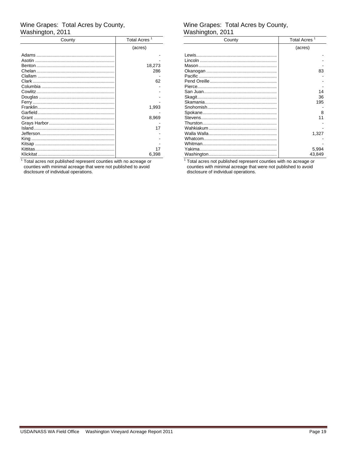# Wine Grapes: Total Acres by County,<br>Washington, 2011

| County | <b>Total Acres</b> |  |  |
|--------|--------------------|--|--|
|        | (acres)            |  |  |
|        |                    |  |  |
| Asotin |                    |  |  |
|        | 18,273             |  |  |
|        | 286                |  |  |
|        |                    |  |  |
|        | 62                 |  |  |
|        |                    |  |  |
|        |                    |  |  |
|        |                    |  |  |
|        |                    |  |  |
|        | 1,993              |  |  |
|        |                    |  |  |
|        | 8,969              |  |  |
|        |                    |  |  |
|        | 17                 |  |  |
|        |                    |  |  |
|        |                    |  |  |
|        |                    |  |  |
|        | 17                 |  |  |
|        | 6,398              |  |  |

<sup>1</sup> Total acres not published represent counties with no acreage or counties with minimal acreage that were not published to avoid<br>disclosure of individual operations.

# Wine Grapes: Total Acres by County,<br>Washington, 2011

| County | <b>Total Acres</b> |
|--------|--------------------|
|        | (acres)            |
|        |                    |
|        |                    |
|        |                    |
|        | 83                 |
|        |                    |
|        |                    |
|        |                    |
|        | 14                 |
|        | 36                 |
|        | 195                |
|        |                    |
|        | 8                  |
|        | 11                 |
|        |                    |
|        |                    |
|        | 1,327              |
|        |                    |
|        |                    |
|        | 5.994              |
|        | 43.849             |

<sup>1</sup> Total acres not published represent counties with no acreage or counties with minimal acreage that were not published to avoid<br>disclosure of individual operations.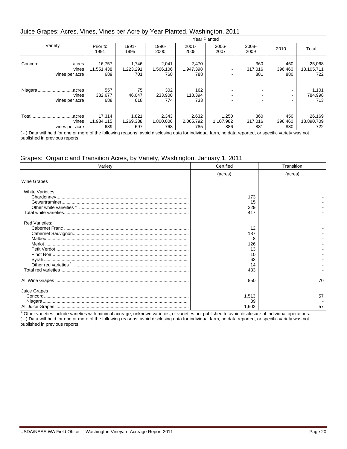#### Juice Grapes: Acres, Vines, Vines per Acre by Year Planted, Washington, 2011

|                                             | <b>Year Planted</b>         |                           |                           |                           |                           |                       |                       |                             |
|---------------------------------------------|-----------------------------|---------------------------|---------------------------|---------------------------|---------------------------|-----------------------|-----------------------|-----------------------------|
| Variety                                     | Prior to<br>1991            | 1991-<br>1995             | 1996-<br>2000             | $2001 -$<br>2005          | 2006-<br>2007             | 2008-<br>2009         | 2010                  | Total                       |
| Concord<br>acres<br>vines<br>vines per acre | 16,757<br>11,551,438<br>689 | 1,746<br>1,223,291<br>701 | 2,041<br>1,566,106<br>768 | 2,470<br>1,947,398<br>788 | -                         | 360<br>317,016<br>881 | 450<br>396,460<br>880 | 25,068<br>18,105,711<br>722 |
| Niagaraacres<br>vines<br>vines per acre     | 557<br>382,677<br>688       | 75<br>46,047<br>618       | 302<br>233,900<br>774     | 162<br>118,394<br>733     |                           |                       | ۰<br>۰<br>۰           | 1,101<br>784,998<br>713     |
| Total<br>.acres<br>vines<br>vines per acre  | 17,314<br>11,934,115<br>689 | 1,821<br>1,269,338<br>697 | 2,343<br>1,800,006<br>768 | 2,632<br>2,065,792<br>785 | 1,250<br>1,107,982<br>886 | 360<br>317,016<br>881 | 450<br>396,460<br>880 | 26,169<br>18,890,709<br>722 |

 $($  -  $)$  Data withheld for one or more of the following reasons: avoid disclosing data for individual farm, no data reported, or specific variety was not published in previous reports.

#### Grapes: Organic and Transition Acres, by Variety, Washington, January 1, 2011

| Variety                                                                                                                                           | Certified | Transition |  |
|---------------------------------------------------------------------------------------------------------------------------------------------------|-----------|------------|--|
|                                                                                                                                                   | (acres)   | (acres)    |  |
| Wine Grapes                                                                                                                                       |           |            |  |
| <b>White Varieties:</b>                                                                                                                           |           |            |  |
|                                                                                                                                                   | 173       |            |  |
|                                                                                                                                                   | 15        |            |  |
|                                                                                                                                                   | 229       |            |  |
|                                                                                                                                                   | 417       |            |  |
| <b>Red Varieties:</b>                                                                                                                             |           |            |  |
|                                                                                                                                                   | 12        |            |  |
|                                                                                                                                                   | 187       |            |  |
|                                                                                                                                                   |           |            |  |
|                                                                                                                                                   | 126       |            |  |
|                                                                                                                                                   | 13        |            |  |
|                                                                                                                                                   | 10        |            |  |
|                                                                                                                                                   | 63        |            |  |
|                                                                                                                                                   | 14        |            |  |
|                                                                                                                                                   | 433       |            |  |
|                                                                                                                                                   | 850       | 70         |  |
| Juice Grapes                                                                                                                                      |           |            |  |
|                                                                                                                                                   | 1,513     | 57         |  |
|                                                                                                                                                   | 89        |            |  |
|                                                                                                                                                   | 1,602     | 57         |  |
| $^1$ Other veristing include written with minimal german walve we waristing are written not published to quoid displayment individual approtions. |           |            |  |

 Other varieties include varieties with minimal acreage, unknown varieties, or varieties not published to avoid disclosure of individual operations. ( - ) Data withheld for one or more of the following reasons: avoid disclosing data for individual farm, no data reported, or specific variety was not published in previous reports.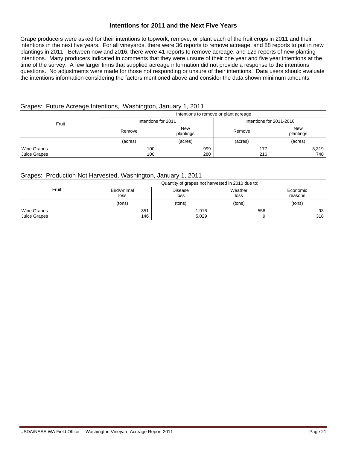#### **Intentions for 2011 and the Next Five Years**

Grape producers were asked for their intentions to topwork, remove, or plant each of the fruit crops in 2011 and their intentions in the next five years. For all vineyards, there were 36 reports to remove acreage, and 88 reports to put in new plantings in 2011. Between now and 2016, there were 41 reports to remove acreage, and 129 reports of new planting intentions. Many producers indicated in comments that they were unsure of their one year and five year intentions at the time of the survey. A few larger firms that supplied acreage information did not provide a response to the intentions questions. No adjustments were made for those not responding or unsure of their intentions. Data users should evaluate the intentions information considering the factors mentioned above and consider the data shown minimum amounts.

#### Grapes: Future Acreage Intentions, Washington, January 1, 2011

| Fruit                       | Intentions to remove or plant acreage |                         |                          |                         |  |  |  |  |
|-----------------------------|---------------------------------------|-------------------------|--------------------------|-------------------------|--|--|--|--|
|                             | Intentions for 2011                   |                         | Intentions for 2011-2016 |                         |  |  |  |  |
|                             | Remove                                | <b>New</b><br>plantings | Remove                   | <b>New</b><br>plantings |  |  |  |  |
|                             | (acres)                               | (acres)                 | (acres)                  | (acres)                 |  |  |  |  |
| Wine Grapes<br>Juice Grapes | 100<br>100                            | 999<br>280              | 177<br>216               | 3,319<br>740            |  |  |  |  |

#### Grapes: Production Not Harvested, Washington, January 1, 2011

|              | Quantity of grapes not harvested in 2010 due to: |                |         |          |  |  |  |  |
|--------------|--------------------------------------------------|----------------|---------|----------|--|--|--|--|
| Fruit        | Bird/Animal                                      | <b>Disease</b> | Weather | Economic |  |  |  |  |
|              | loss                                             | loss           | loss    | reasons  |  |  |  |  |
|              | (tons)                                           | (tons)         | (tons)  | (tons)   |  |  |  |  |
| Wine Grapes  | 351                                              | 1,916          | 556     | 93       |  |  |  |  |
| Juice Grapes | 146                                              | 5,029          |         | 318      |  |  |  |  |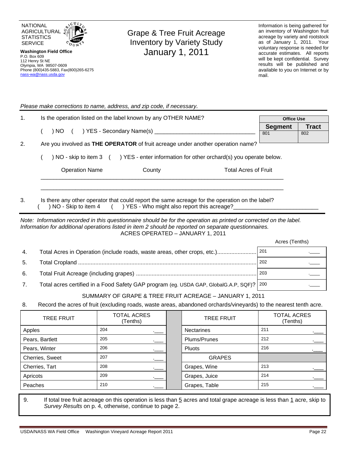

Phone (800)435-5883, Fax(800)265-6275

P.O. Box 609 112 Henry St NE Olympia, WA 98507-0609

nass-wa@nass.usda.gov

Grape & Tree Fruit Acreage Inventory by Variety Study January 1, 2011

Information is being gathered for an inventory of Washington fruit acreage by variety and rootstock as of January 1, 2011. Your voluntary response is needed for accurate estimates. All reports will be kept confidential. Survey results will be published and available to you on Internet or by mail.

*Please make corrections to name, address, and zip code, if necessary.*

| $\mathbf{1}$ . |                                                                                 | Is the operation listed on the label known by any OTHER NAME?                            | <b>Office Use</b> |              |  |
|----------------|---------------------------------------------------------------------------------|------------------------------------------------------------------------------------------|-------------------|--------------|--|
|                |                                                                                 | ) YES - Secondary Name(s) ______<br>) NO (                                               | <b>Segment</b>    | <b>Tract</b> |  |
|                |                                                                                 |                                                                                          | 801               | 802          |  |
| 2.             | Are you involved as THE OPERATOR of fruit acreage under another operation name? |                                                                                          |                   |              |  |
|                |                                                                                 | ) NO - skip to item 3 () YES - enter information for other orchard(s) you operate below. |                   |              |  |
|                |                                                                                 | <b>Operation Name</b><br><b>Total Acres of Fruit</b><br>County                           |                   |              |  |
|                |                                                                                 |                                                                                          |                   |              |  |
|                |                                                                                 |                                                                                          |                   |              |  |

3. Is there any other operator that could report the same acreage for the operation on the label? () NO - Skip to item 4 () YES - Who might also report this acreage?

*Note: Information recorded in this questionnaire should be for the operation as printed or corrected on the label. Information for additional operations listed in item 2 should be reported on separate questionnaires.*  ACRES OPERATED – JANUARY 1, 2011

Acres (Tenths)

| -4. |                                                                                          |     |
|-----|------------------------------------------------------------------------------------------|-----|
| 5.  |                                                                                          | 202 |
| 6.  |                                                                                          | 203 |
|     | Total acres certified in a Food Safety GAP program (eg. USDA GAP, GlobalG.A.P, SQF)? 200 |     |

#### SUMMARY OF GRAPE & TREE FRUIT ACREAGE – JANUARY 1, 2011

8. Record the acres of fruit (excluding roads, waste areas, abandoned orchards/vineyards) to the nearest tenth acre.

| <b>TREE FRUIT</b> | <b>TOTAL ACRES</b><br>(Tenths) |  | <b>TREE FRUIT</b> | <b>TOTAL ACRES</b><br>(Tenths) |
|-------------------|--------------------------------|--|-------------------|--------------------------------|
| Apples            | 204                            |  | <b>Nectarines</b> | 211                            |
| Pears, Bartlett   | 205                            |  | Plums/Prunes      | 212                            |
| Pears, Winter     | 206                            |  | Pluots            | 216                            |
| Cherries, Sweet   | 207                            |  | <b>GRAPES</b>     |                                |
| Cherries, Tart    | 208<br>___                     |  | Grapes, Wine      | 213                            |
| Apricots          | 209                            |  | Grapes, Juice     | 214                            |
| Peaches           | 210                            |  | Grapes, Table     | 215                            |

9. If total tree fruit acreage on this operation is less than  $5$  acres and total grape acreage is less than  $1$  acre, skip to *Survey Results* on p. 4, otherwise, continue to page 2.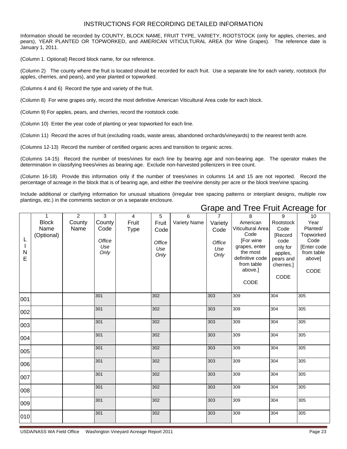#### INSTRUCTIONS FOR RECORDING DETAILED INFORMATION

Information should be recorded by COUNTY, BLOCK NAME, FRUIT TYPE, VARIETY, ROOTSTOCK (only for apples, cherries, and pears), YEAR PLANTED OR TOPWORKED, and AMERICAN VITICULTURAL AREA (for Wine Grapes). The reference date is January 1, 2011.

(Column 1. Optional) Record block name, for our reference.

(Column 2) The county where the fruit is located should be recorded for each fruit. Use a separate line for each variety, rootstock (for apples, cherries, and pears), and year planted or topworked.

(Columns 4 and 6) Record the type and variety of the fruit.

(Column 8) For wine grapes only, record the most definitive American Viticultural Area code for each block.

(Column 9) For apples, pears, and cherries, record the rootstock code.

(Column 10) Enter the year code of planting or year topworked for each line.

(Column 11) Record the acres of fruit (excluding roads, waste areas, abandoned orchards/vineyards) to the nearest tenth acre.

(Columns 12-13) Record the number of certified organic acres and transition to organic acres.

(Columns 14-15) Record the number of trees/vines for each line by bearing age and non-bearing age. The operator makes the determination in classifying trees/vines as bearing age. Exclude non-harvested pollenizers in tree count.

(Column 16-18) Provide this information only if the number of trees/vines in columns 14 and 15 are not reported. Record the percentage of acreage in the block that is of bearing age, and either the tree/vine density per acre or the block tree/vine spacing.

Include additional or clarifying information for unusual situations (irregular tree spacing patterns or interplant designs, multiple row plantings, etc.) in the comments section or on a separate enclosure.

| L<br>$\mathbf{I}$<br>${\sf N}$<br>E | $\mathbf{1}$<br><b>Block</b><br>Name<br>(Optional) | $\overline{2}$<br>County<br>Name | 3<br>County<br>Code<br>Office<br>Use<br>Only | $\overline{4}$<br>Fruit<br><b>Type</b> | 5<br>Fruit<br>Code<br>Office<br>Use<br>Only | 6<br>Variety Name | $\overline{7}$<br>Variety<br>Code<br>Office<br>Use<br>Only | 8<br>American<br>Viticultural Area<br>Code<br>[For wine<br>grapes, enter<br>the most<br>definitive code<br>from table<br>above.]<br>CODE | 9<br>Rootstock<br>Code<br>[Record<br>code<br>only for<br>apples,<br>pears and<br>cherries.]<br>CODE | 10<br>Year<br>Planted/<br>Topworked<br>Code<br>[Enter code<br>from table<br>above]<br>CODE |
|-------------------------------------|----------------------------------------------------|----------------------------------|----------------------------------------------|----------------------------------------|---------------------------------------------|-------------------|------------------------------------------------------------|------------------------------------------------------------------------------------------------------------------------------------------|-----------------------------------------------------------------------------------------------------|--------------------------------------------------------------------------------------------|
| 001                                 |                                                    |                                  | 301                                          |                                        | 302                                         |                   | 303                                                        | 309                                                                                                                                      | 304                                                                                                 | 305                                                                                        |
| 002                                 |                                                    |                                  | 301                                          |                                        | 302                                         |                   | 303                                                        | 309                                                                                                                                      | 304                                                                                                 | 305                                                                                        |
| 003                                 |                                                    |                                  | 301                                          |                                        | 302                                         |                   | 303                                                        | 309                                                                                                                                      | 304                                                                                                 | 305                                                                                        |
| 004                                 |                                                    |                                  | 301                                          |                                        | 302                                         |                   | 303                                                        | 309                                                                                                                                      | 304                                                                                                 | 305                                                                                        |
| 005                                 |                                                    |                                  | 301                                          |                                        | 302                                         |                   | 303                                                        | 309                                                                                                                                      | 304                                                                                                 | 305                                                                                        |
| 006                                 |                                                    |                                  | 301                                          |                                        | 302                                         |                   | 303                                                        | 309                                                                                                                                      | 304                                                                                                 | 305                                                                                        |
| 007                                 |                                                    |                                  | 301                                          |                                        | 302                                         |                   | 303                                                        | 309                                                                                                                                      | 304                                                                                                 | 305                                                                                        |
| 008                                 |                                                    |                                  | 301                                          |                                        | 302                                         |                   | 303                                                        | 309                                                                                                                                      | 304                                                                                                 | 305                                                                                        |
| 009                                 |                                                    |                                  | 301                                          |                                        | 302                                         |                   | 303                                                        | 309                                                                                                                                      | 304                                                                                                 | 305                                                                                        |
| 010                                 |                                                    |                                  | 301                                          |                                        | 302                                         |                   | 303                                                        | 309                                                                                                                                      | 304                                                                                                 | 305                                                                                        |

## Grape and Tree Fruit Acreage for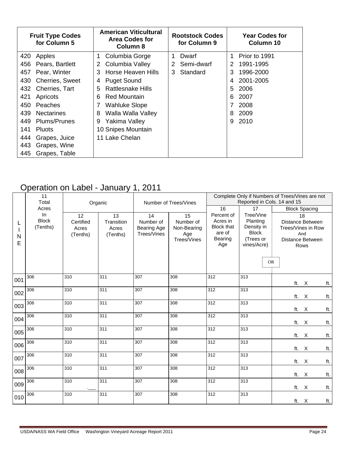| <b>Fruit Type Codes</b><br>for Column 5 | <b>American Viticultural</b><br><b>Area Codes for</b><br>Column 8 | <b>Rootstock Codes</b><br>for Column 9 | <b>Year Codes for</b><br>Column 10 |
|-----------------------------------------|-------------------------------------------------------------------|----------------------------------------|------------------------------------|
| 420                                     | Columbia Gorge                                                    | Dwarf                                  | Prior to 1991                      |
| Apples                                  | 1                                                                 | 1                                      | 1                                  |
| 456                                     | Columbia Valley                                                   | Semi-dwarf                             | 1991-1995                          |
| Pears, Bartlett                         | 2                                                                 | 2                                      | 2                                  |
| Pear, Winter                            | Horse Heaven Hills                                                | Standard                               | 1996-2000                          |
| 457                                     | 3                                                                 | 3                                      | 3                                  |
| <b>Cherries, Sweet</b>                  | <b>Puget Sound</b>                                                |                                        | 2001-2005                          |
| 430                                     | 4                                                                 |                                        | 4                                  |
| 432                                     | <b>Rattlesnake Hills</b>                                          |                                        | 5.                                 |
| Cherries, Tart                          | 5                                                                 |                                        | 2006                               |
| 421                                     | <b>Red Mountain</b>                                               |                                        | 2007                               |
| Apricots                                | 6                                                                 |                                        | 6                                  |
| 450<br>Peaches                          | <b>Wahluke Slope</b>                                              |                                        | 2008                               |
| 439                                     | Walla Walla Valley                                                |                                        | 2009                               |
| <b>Nectarines</b>                       | 8                                                                 |                                        | 8                                  |
| 449                                     | Yakima Valley                                                     |                                        | 2010                               |
| <b>Plums/Prunes</b>                     | 9                                                                 |                                        | 9                                  |
| 141<br><b>Pluots</b>                    | 10 Snipes Mountain                                                |                                        |                                    |
| 444<br>Grapes, Juice                    | 11 Lake Chelan                                                    |                                        |                                    |
| 443<br>Grapes, Wine                     |                                                                   |                                        |                                    |
| 445<br>Grapes, Table                    |                                                                   |                                        |                                    |

## Operation on Label - January 1, 2011

|             | 11<br>Total                    | Organic                              |                                       |                                                      | Number of Trees/Vines                                |                                                                         | Complete Only if Numbers of Trees/Vines are not<br>Reported in Cols. 14 and 15  |                                                                                 |  |  |  |
|-------------|--------------------------------|--------------------------------------|---------------------------------------|------------------------------------------------------|------------------------------------------------------|-------------------------------------------------------------------------|---------------------------------------------------------------------------------|---------------------------------------------------------------------------------|--|--|--|
|             | Acres                          |                                      |                                       |                                                      |                                                      | 16                                                                      | 17                                                                              | <b>Block Spacing</b>                                                            |  |  |  |
| L<br>N<br>E | ln<br><b>Block</b><br>(Tenths) | 12<br>Certified<br>Acres<br>(Tenths) | 13<br>Transition<br>Acres<br>(Tenths) | 14<br>Number of<br><b>Bearing Age</b><br>Trees/Vines | 15<br>Number of<br>Non-Bearing<br>Age<br>Trees/Vines | Percent of<br>Acres in<br><b>Block that</b><br>are of<br>Bearing<br>Age | Tree/Vine<br>Planting<br>Density in<br><b>Block</b><br>(Trees or<br>vines/Acre) | 18<br>Distance Between<br>Trees/Vines in Row<br>And<br>Distance Between<br>Rows |  |  |  |
|             |                                |                                      |                                       |                                                      |                                                      |                                                                         | <b>OR</b>                                                                       |                                                                                 |  |  |  |
| 001         | 306                            | 310                                  | 311                                   | 307                                                  | 308                                                  | 312                                                                     | 313                                                                             | ft. X<br>ft.                                                                    |  |  |  |
| 002         | 306                            | 310                                  | 311                                   | 307                                                  | 308                                                  | 312                                                                     | 313                                                                             | ft.<br>X<br>ft.                                                                 |  |  |  |
| 003         | 306                            | 310                                  | 311                                   | 307                                                  | 308                                                  | 312                                                                     | 313                                                                             | ft.<br>ft.<br>$\times$                                                          |  |  |  |
| 004         | 306                            | 310                                  | 311                                   | 307                                                  | 308                                                  | 312                                                                     | 313                                                                             | ft. X<br>ft.                                                                    |  |  |  |
| 005         | 306                            | 310                                  | $\overline{311}$                      | 307                                                  | 308                                                  | 312                                                                     | 313                                                                             | ft.<br>X<br>ft.                                                                 |  |  |  |
| 006         | 306                            | 310                                  | 311                                   | 307                                                  | 308                                                  | 312                                                                     | 313                                                                             | ft.<br>$\times$<br>ft.                                                          |  |  |  |
| 007         | 306                            | 310                                  | 311                                   | 307                                                  | 308                                                  | $\overline{312}$                                                        | 313                                                                             | ft.<br>$\times$<br>ft.                                                          |  |  |  |
| 008         | 306                            | 310                                  | 311                                   | 307                                                  | 308                                                  | 312                                                                     | 313                                                                             | ft. X<br>ft.                                                                    |  |  |  |
| 009         | 306                            | 310                                  | 311                                   | 307                                                  | 308                                                  | $\overline{312}$                                                        | 313                                                                             | ft.<br>$\sf X$<br>ft.                                                           |  |  |  |
| 010         | 306                            | 310                                  | 311                                   | 307                                                  | 308                                                  | 312                                                                     | 313                                                                             | ft.<br>$\mathsf{X}$<br>ft.                                                      |  |  |  |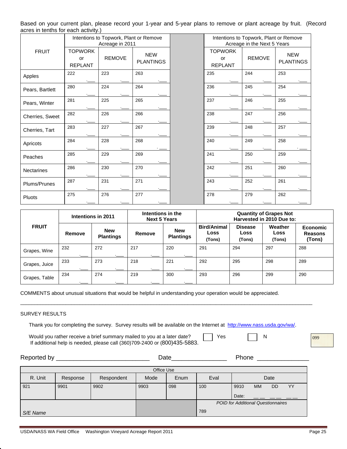Based on your current plan, please record your 1-year and 5-year plans to remove or plant acreage by fruit. (Record acres in tenths for each activity.)

|                 |                                                         | Intentions to Topwork, Plant or Remove<br>Acreage in 2011 |                                | Intentions to Topwork, Plant or Remove<br>Acreage in the Next 5 Years |               |                                |  |
|-----------------|---------------------------------------------------------|-----------------------------------------------------------|--------------------------------|-----------------------------------------------------------------------|---------------|--------------------------------|--|
| <b>FRUIT</b>    | <b>TOPWORK</b><br><b>REMOVE</b><br>or<br><b>REPLANT</b> |                                                           | <b>NEW</b><br><b>PLANTINGS</b> | <b>TOPWORK</b><br>or<br><b>REPLANT</b>                                | <b>REMOVE</b> | <b>NEW</b><br><b>PLANTINGS</b> |  |
| Apples          | 222                                                     | 223                                                       | 263                            | 235                                                                   | 244           | 253                            |  |
| Pears, Bartlett | 280                                                     | 224                                                       | 264                            | 236                                                                   | 245           | 254                            |  |
| Pears, Winter   | 281                                                     | 225                                                       | 265                            | 237                                                                   | 246           | 255                            |  |
| Cherries, Sweet | 282                                                     | 226                                                       | 266                            | 238                                                                   | 247           | 256                            |  |
| Cherries, Tart  | 283                                                     | 227                                                       | 267                            | 239                                                                   | 248           | 257                            |  |
| Apricots        | 284                                                     | 228                                                       | 268                            | 240                                                                   | 249           | 258                            |  |
| Peaches         | 285                                                     | 229                                                       | 269                            | 241                                                                   | 250           | 259                            |  |
| Nectarines      | 286                                                     | 230                                                       | 270                            | 242                                                                   | 251           | 260                            |  |
| Plums/Prunes    | 287                                                     | 231                                                       | 271                            | 243                                                                   | 252           | 261                            |  |
| Pluots          | 275                                                     | 276                                                       | 277                            | 278                                                                   | 279           | 262                            |  |

|               |            | Intentions in 2011             | Intentions in the<br><b>Next 5 Years</b> |                                | <b>Quantity of Grapes Not</b><br>Harvested in 2010 Due to: |                                  |                           |                                             |
|---------------|------------|--------------------------------|------------------------------------------|--------------------------------|------------------------------------------------------------|----------------------------------|---------------------------|---------------------------------------------|
| <b>FRUIT</b>  | Remove     | <b>New</b><br><b>Plantings</b> | Remove                                   | <b>New</b><br><b>Plantings</b> | <b>Bird/Animal</b><br>Loss<br>(Tons)                       | <b>Disease</b><br>Loss<br>(Tons) | Weather<br>Loss<br>(Tons) | <b>Economic</b><br><b>Reasons</b><br>(Tons) |
| Grapes, Wine  | 232        | 272                            | 217<br>$-$                               | 220                            | 291                                                        | 294                              | 297                       | 288                                         |
| Grapes, Juice | 233<br>$-$ | 273<br>.____                   | 218<br>$-$                               | 221<br>$-$                     | 292                                                        | 295                              | 298                       | 289                                         |
| Grapes, Table | 234        | 274                            | 219                                      | 300                            | 293                                                        | 296                              | 299                       | 290                                         |

COMMENTS about unusual situations that would be helpful in understanding your operation would be appreciated.

#### SURVEY RESULTS

Thank you for completing the survey. Survey results will be available on the Internet at http://www.nass.usda.gov/wa/.

\_\_\_\_\_\_\_\_\_\_\_\_\_\_\_\_\_\_\_\_\_\_\_\_\_\_\_\_\_\_\_\_\_\_\_\_\_\_\_\_\_\_\_\_\_\_\_\_\_\_\_\_\_\_\_\_\_\_\_\_\_\_\_\_\_\_\_\_\_\_\_\_\_\_\_\_\_\_\_\_\_\_\_\_\_\_\_\_\_\_\_\_\_\_\_\_\_\_\_\_\_\_\_

Would you rather receive a brief summary mailed to you at a later date?  $\Box$  Yes  $\Box$  N If additional help is needed, please call (360)709-2400 or (800)435-5883.

099

|          | Reported by ________________ |            | Date       |      |      | Phone                                     |           |           |    |
|----------|------------------------------|------------|------------|------|------|-------------------------------------------|-----------|-----------|----|
|          |                              |            | Office Use |      |      |                                           |           |           |    |
| R. Unit  | Response                     | Respondent | Mode       | Enum | Eval |                                           |           | Date      |    |
| 921      | 9901                         | 9902       | 9903       | 098  | 100  | 9910                                      | <b>MM</b> | <b>DD</b> | YY |
|          |                              |            |            |      |      | Date:                                     |           |           |    |
|          |                              |            |            |      |      | <b>POID for Additional Questionnaires</b> |           |           |    |
| S/E Name |                              |            |            |      | 789  |                                           |           |           |    |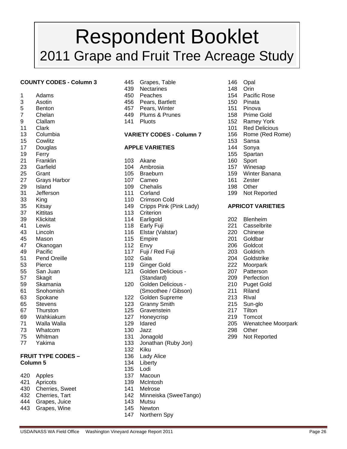# Respondent Booklet 2011 Grape and Fruit Tree Acreage Study

#### **COUNTY CODES - Column 3** 445 Grapes, Table 146 Opal

- 
- 
- 
- 
- 
- 11 Clark 101 Red Delicious 101 Red Delicious 101 Red Delicious
- 
- 15 Cowlitz 153 Sansa
- 
- 19 Ferry 155 Spartan
- 21 Franklin 103 Akane 160 Sport
- 
- 
- 27 Grays Harbor 107 Cameo 161 Zester
- 
- 
- 
- 
- 
- 
- 
- 
- 
- 
- 51 Pend Oreille 102 Gala 204 Goldstrike
- 
- 
- 
- 
- 
- 
- 
- 
- 
- 
- 73 Whatcom 130 Jazz 298 Other
- 
- 

#### **FRUIT TYPE CODES – 136 Lady Alice Column 5** 134 Liberty

- 420 Apples 137 Macoun
- 421 Apricots 139 McIntosh
- 430 Cherries, Sweet 141 Melrose<br>432 Cherries, Tart 142 Minneisk
- 
- 444 Grapes, Juice 143 Mutsu
- 443 Grapes, Wine 145 Newton
- 
- 439 Nectarines 148 Orin
- 1 Adams 450 Peaches 154 Pacific Rose
- 3 Asotin 456 Pears, Bartlett 150 Pinata
- 5 Benton 457 Pears, Winter 151 Pinova
- 7 Chelan 449 Plums & Prunes 158 Prime Gold
- 9 Clallam 141 Pluots 152 Ramey York

#### 13 Columbia **VARIETY CODES - Column 7** 156 Rome (Red Rome)

#### 17 Douglas **APPLE VARIETIES** 144 Sonya

- 
- 23 Garfield 104 Ambrosia 157 Winesap
- 25 Grant 105 Braeburn 159 Winter Banana
	-
- 29 Island 109 Chehalis 198 Other
- 31 Jefferson 111 Corland 199 Not Reported
- 33 King 110 Crimson Cold
- 35 Kitsay 149 Cripps Pink (Pink Lady) **APRICOT VARIETIES**
- 37 Kittitas 113 Criterion
- 39 Klickitat 114 Earligold 202 Blenheim
- 41 Lewis 118 Early Fuji 221 Casselbrite
- 43 Lincoln 116 Elstar (Valstar) 220 Chinese
- 45 Mason 115 Empire 201 Goldbar
- 47 Okanogan 112 Envy 206 Goldcot
- 49 Pacific 203 Goldrich 117 Fuji / Red Fuji 203 Goldrich
	-
- 53 Pierce 119 Ginger Gold 222 Moorpark
- 55 San Juan 121 Golden Delicious 207 Patterson 57 Skagit (Standard) 209 Perfection
- 59 Skamania 120 Golden Delicious 210 Puget Gold 61 Snohomish (Smoothee / Gibson) 211 Riland
- 63 Spokane 122 Golden Supreme 213 Rival
- 65 Stevens 123 Granny Smith 215 Sun-glo
- 67 Thurston 125 Gravenstein 217 Tilton
- 69 Wahkiakum 127 Honeycrisp 219 Tomcot
- 71 Walla Walla 129 Idared 205 Wenatchee Moorpark
	-
- 75 Whitman 131 Jonagold 299 Not Reported
- 77 Yakima 133 Jonathan (Ruby Jon)
- 132 Kiku
	-
	-
- 135 Lodi
	-
	-
	-
	- 142 Minneiska (SweeTango)

USDA/NASS WA Field Office Washington Vineyard Acreage Report 2011 **Page 26** Page 26

- 
- 
- 147 Northern Spy
- 
- 
- 
- 
- 
-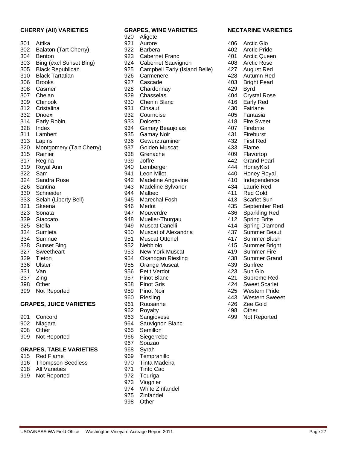#### **CHERRY (All) VARIETIES GRAPES, WINE VARIETIES NECTARINE VARIETIES**

| 301 | Attika                  |
|-----|-------------------------|
| 302 | Balaton (Tart Cherry)   |
| 304 | Benton                  |
| 303 | Bing (excl Sunset Bing) |
| 305 | <b>Black Republican</b> |
| 310 | <b>Black Tartatian</b>  |
| 306 | <b>Brooks</b>           |
| 308 | Casmer                  |
| 307 | Chelan                  |
| 309 | Chinook                 |
| 312 | Cristalina              |
| 332 | Dnoex                   |
| 314 | <b>Early Robin</b>      |
| 328 | Index                   |
| 311 | Lambert                 |
| 313 | Lapins                  |
| 320 | Montgomery (Tart Cherr  |
| 315 | Rainier                 |
| 317 | Regina                  |
| 319 | Royal Ann               |
| 322 | Sam                     |
| 324 | Sandra Rose             |
| 326 | Santina                 |
| 330 | Schneider               |
| 333 | Selah (Liberty Bell)    |
| 321 | Skeena                  |
| 323 | Sonata                  |
| 339 | Staccato                |
| 325 | <b>Stella</b>           |
| 334 | Sumleta                 |
| 334 | Sumnue                  |
| 338 | <b>Sunset Bing</b>      |
| 327 | Sweetheart              |
| 329 | Tieton                  |
| 336 | Ulster                  |
| 331 | Van                     |
| 337 | Zing                    |
| 398 | Other                   |
| 399 | Not Reported            |

| 901 | Concord      |
|-----|--------------|
| 902 | Niagara      |
| 908 | Other        |
| 909 | Not Reportec |

#### **GRAPES, TABLE VARIETIES** 968 Syrah

- 915 Red Flame 969 Tempranillo
- 916 Thompson Seedless 970 Tinta Madeira<br>918 All Varieties 971 Tinto Cao
- 918 All Varieties 971 Tinto Cao
- 919 Not Reported 972 Touriga

 920 Aligote 921 Aurore 406 Arctic Glo 922 Barbera (Tart Cherry) 922 Barbera (Tart Cherry) 923 Cabernet Franc<br>1923 Cabernet Franc (Tart Cherry) 401 Arctic Queen 923 Cabernet Franc<br>924 Cabernet Sauvic Cabernet Sauvignon 408 Arctic Rose 925 Campbell Early (Island Belle) 427 August Red<br>926 Carmenere 428 Autumn Red 310 Black Tartatian 926 Carmenere 428 Autumn Red 927 Cascade 403 Bright Pearl 308 Casmer 928 Chardonnay 429 Byrd 307 Chelan 929 Chasselas 404 Crystal Rose 930 Chenin Blanc 416 Early Red 931 Cinsaut 430 Fairlane 932 Cournoise **405 Fantasia** 933 Dolcetto 418 Fire Sweet 934 Gamay Beaujolais **108 Filter 407** Firebrite<br>935 Gamay Noir 108 431 Fireburst 935 Gamay Noir 431 936 Gewurztraminer 1932 First Red y) 937 Golden Muscat 433 Flame 938 Grenache 409 Flavortop 939 Joffre 2008 10 442 Grand Pearl 940 Lemberger 444 HoneyKist 941 Leon Milot 440 Honey Royal 942 Madeline Angevine 410 Independence 326 Santina 943 Madeline Sylvaner 434 Laurie Red 330 Schneider 944 Malbec 411 Red Gold 945 Marechal Fosh 413 Scarlet Sun 946 Merlot 135 September Red 947 Mouverdre 19436 Sparkling Red 948 Mueller-Thurgau 412 Spring Brite 949 Muscat Canelli 414 Spring Diamond 950 Muscat of Alexandria 437 Summer Beaut 334 Sumnue 951 Muscat Ottonel 417 Summer Blush 952 Nebbiolo 415 Summer Bright 953 New York Muscat 419 Summer Fire 954 Okanogan Riesling 138 Summer Grand 336 Ulster 955 Orange Muscat 439 Sunfree 331 Van 956 Petit Verdot 423 Sun Glo 957 Pinot Blanc 421 Supreme Red 958 Pinot Gris 1958 Pinot Gris 1958 Pinot Gris 1958 1959 1958 424 Sweet Scarlet 399 Not Reported **1998 Pinot Noir** 1959 Pinot Noir 1999 1999 Pinot Noir 1999 1999 1999 1999 1999 199 960 Riesling 443 Western Sweeet **GRAPES, JUICE VARIETIES** 961 Rousanne 126 426 Zee Gold 962 Royalty 498 Other 963 Sangiovese 499 Not Reported 964 Sauvignon Blanc 965 Semillon d 1 Note Reported 966 Siegerrebe 967 Souzao

 973 Viognier 974 White Zinfandel 975 Zinfandel 998 Other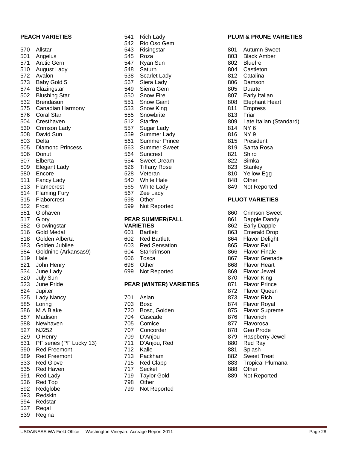| 570 | Allstar                 | 543 | Risingstar                     | 801 | Autumn Sweet           |
|-----|-------------------------|-----|--------------------------------|-----|------------------------|
| 501 | Angelus                 | 545 | Roza                           | 803 | <b>Black Amber</b>     |
| 571 | Arctic Gern             | 547 | Ryan Sun                       | 802 | <b>Bluefre</b>         |
| 510 | August Lady             | 548 | Saturn                         | 804 | Castleton              |
| 572 | Avalon                  | 538 | Scarlet Lady                   | 812 | Catalina               |
| 573 | Baby Gold 5             | 567 | Siera Lady                     | 806 | Damson                 |
| 574 | Blazingstar             | 549 | Sierra Gem                     | 805 | Duarte                 |
| 502 | <b>Blushing Star</b>    | 550 | <b>Snow Fire</b>               | 807 | Early Italian          |
| 532 | Brendasun               | 551 | <b>Snow Giant</b>              | 808 | <b>Elephant Heart</b>  |
| 575 | Canadian Harmony        | 553 | Snow King                      | 811 | <b>Empress</b>         |
| 576 | Coral Star              | 555 | Snowbrite                      | 813 | Friar                  |
| 504 | Cresthaven              | 512 | <b>Starfire</b>                | 809 | Late Italian (Sta      |
| 530 | Crimson Lady            | 557 | Sugar Lady                     | 814 | NY <sub>6</sub>        |
| 508 | David Sun               | 559 | Summer Lady                    | 816 | NY <sub>9</sub>        |
| 503 | Delta                   | 561 | <b>Summer Prince</b>           | 815 | President              |
| 505 | <b>Diamond Princess</b> | 563 | <b>Summer Sweet</b>            | 819 | Santa Rosa             |
| 506 | Donut                   | 564 | Suncrest                       | 821 | Shiro                  |
| 507 | Elberta                 | 554 | <b>Sweet Dream</b>             | 822 | Simka                  |
| 509 | Elegant Lady            | 526 | <b>Tiffany Rose</b>            | 823 | Stanley                |
| 580 | Encore                  | 528 | Veteran                        | 810 | Yellow Egg             |
| 511 | Fancy Lady              | 540 | <b>White Hale</b>              | 848 | Other                  |
| 513 | Flamecrest              | 565 | White Lady                     | 849 | Not Reported           |
| 514 | <b>Flaming Fury</b>     | 567 | Zee Lady                       |     |                        |
| 515 | Flaborcrest             | 598 | Other                          |     | <b>PLUOT VARIETIES</b> |
| 552 | Frost                   | 599 | Not Reported                   |     |                        |
| 581 | Glohaven                |     |                                | 860 | <b>Crimson Sweet</b>   |
| 517 | Glory                   |     | <b>PEAR SUMMER/FALL</b>        | 861 | Dapple Dandy           |
| 582 | Glowingstar             |     | <b>VARIETIES</b>               | 862 | <b>Early Dapple</b>    |
| 516 | <b>Gold Medal</b>       | 601 | <b>Bartlett</b>                | 863 | <b>Emerald Drop</b>    |
| 518 | Golden Alberta          | 602 | <b>Red Bartlett</b>            | 864 | <b>Flavor Delight</b>  |
| 583 | Golden Jubilee          | 603 | <b>Red Sensation</b>           | 865 | <b>Flavor Fall</b>     |
| 584 | Goldnine (Arkansas9)    | 604 | Starkrimson                    | 866 | <b>Flavor Finale</b>   |
| 519 | Hale                    | 606 | Tosca                          | 867 | <b>Flavor Grenade</b>  |
| 521 | John Henry              | 698 | Other                          | 868 | <b>Flavor Heart</b>    |
| 534 | June Lady               | 699 | Not Reported                   | 869 | Flavor Jewel           |
| 520 | <b>July Sun</b>         |     |                                | 870 | <b>Flavor King</b>     |
| 523 | June Pride              |     | <b>PEAR (WINTER) VARIETIES</b> | 871 | <b>Flavor Prince</b>   |
| 524 | Jupiter                 |     |                                | 872 | <b>Flavor Queen</b>    |
| 525 | Lady Nancy              |     | 701 Asian                      | 873 | Flavor Rich            |
| 585 | Loring                  | 703 | <b>Bosc</b>                    | 874 | <b>Flavor Royal</b>    |
| 586 | M A Blake               | 720 | Bosc, Golden                   | 875 | <b>Flavor Supreme</b>  |
| 587 | Madison                 | 704 | Cascade                        | 876 | Flavorich              |
| 588 | Newhaven                | 705 | Comice                         | 877 | Flavorosa              |
| 527 | <b>NJ252</b>            | 707 | Concorder                      | 878 | Geo Prode              |
| 529 | O'Henry                 | 709 | D'Anjou                        | 879 | Raspberry Jewe         |
| 531 | PF series (PF Lucky 13) | 711 | D'Anjou, Red                   | 880 | Red Ray                |
| 590 | <b>Red Freemont</b>     | 712 | Kalle                          | 881 | Splash                 |
| 589 | <b>Red Freemont</b>     | 713 | Packham                        | 882 | <b>Sweet Treat</b>     |
| 533 | <b>Red Glove</b>        | 715 | <b>Red Clapp</b>               | 883 | <b>Tropical Plumar</b> |
| 535 | <b>Red Haven</b>        | 717 | Seckel                         | 888 | Other                  |
| 591 | Red Lady                | 719 | <b>Taylor Gold</b>             | 889 | Not Reported           |
| 536 | Red Top                 | 798 | Other                          |     |                        |
| 592 | Redglobe                | 799 | Not Reported                   |     |                        |
| 593 | Redskin                 |     |                                |     |                        |
| 594 | Redstar                 |     |                                |     |                        |
| 537 | Regal                   |     |                                |     |                        |
| 539 | Regina                  |     |                                |     |                        |

#### **PEACH VARIETIES** 541 Rich Lady **PLUM & PRUNE VARIETIES**

| ov i                                          | AULUITIII OWEEL         |
|-----------------------------------------------|-------------------------|
| 803                                           | <b>Black Amber</b>      |
| 802                                           | <b>Bluefre</b>          |
| 804                                           | Castleton               |
| 812                                           | Catalina                |
| 806                                           | Damson                  |
| 805                                           | Duarte                  |
| 807                                           | Early Italian           |
| 808                                           | <b>Elephant Heart</b>   |
| 811                                           | Empress                 |
| 813                                           | Friar                   |
| 809                                           | Late Italian (Standard) |
| 814                                           | NY 6                    |
| 816                                           | <b>NY9</b>              |
| 815                                           | President               |
| 819                                           | Santa Rosa              |
| 821                                           | Shiro                   |
| 822                                           | Simka                   |
| 823                                           | Stanley                 |
| 810                                           | Yellow Egg              |
| 848                                           | Other                   |
| Not Reported<br>849<br><b>PLUOT VARIETIES</b> |                         |
| 860                                           | <b>Crimson Sweet</b>    |
| 861                                           | Dapple Dandy            |
| 862                                           | <b>Early Dapple</b>     |
| 863                                           | <b>Emerald Drop</b>     |
| 864                                           | <b>Flavor Delight</b>   |
| 865                                           | <b>Flavor Fall</b>      |
| 866                                           | <b>Flavor Finale</b>    |
| 867                                           | <b>Flavor Grenade</b>   |
| 868                                           | <b>Flavor Heart</b>     |
| 869                                           | <b>Flavor Jewel</b>     |
| 870                                           | Flavor King             |
| 871                                           | <b>Flavor Prince</b>    |
| 872                                           | <b>Flavor Queen</b>     |
| 873                                           | <b>Flavor Rich</b>      |
| 874                                           | <b>Flavor Royal</b>     |
| 875                                           | <b>Flavor Supreme</b>   |
| 876                                           | Flavorich               |
| 877                                           | Flavorosa               |
| 878                                           | Geo Prode               |
| 879                                           | Raspberry Jewel         |
| 880                                           | Red Ray                 |
| 881                                           | Splash                  |
| 882                                           | Sweet Treat             |
| 883                                           | <b>Tropical Plumana</b> |
| 888                                           | Other                   |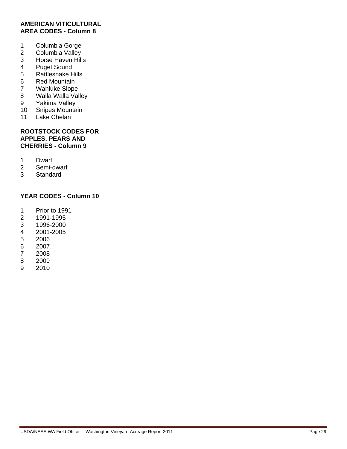#### **AMERICAN VITICULTURAL AREA CODES - Column 8**

- 1 Columbia Gorge
- 2 Columbia Valley<br>3 Horse Haven Hill
- Horse Haven Hills
- 4 Puget Sound
- 5 Rattlesnake Hills
- 6 Red Mountain
- 7 Wahluke Slope
- 8 Walla Walla Valley<br>9 Yakima Valley
- Yakima Valley
- 10 Snipes Mountain
- 11 Lake Chelan

#### **ROOTSTOCK CODES FOR APPLES, PEARS AND CHERRIES - Column 9**

- 1 Dwarf
- 2 Semi-dwarf
- 3 Standard

#### **YEAR CODES - Column 10**

- 1 Prior to 1991
- 2 1991-1995
- 3 1996-2000
- 4 2001-2005
- 5 2006
- 6 2007
- 7 2008
- 2009
- 9 2010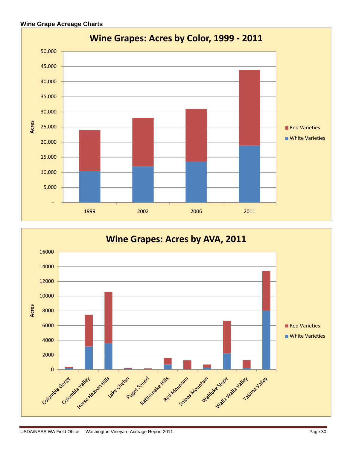